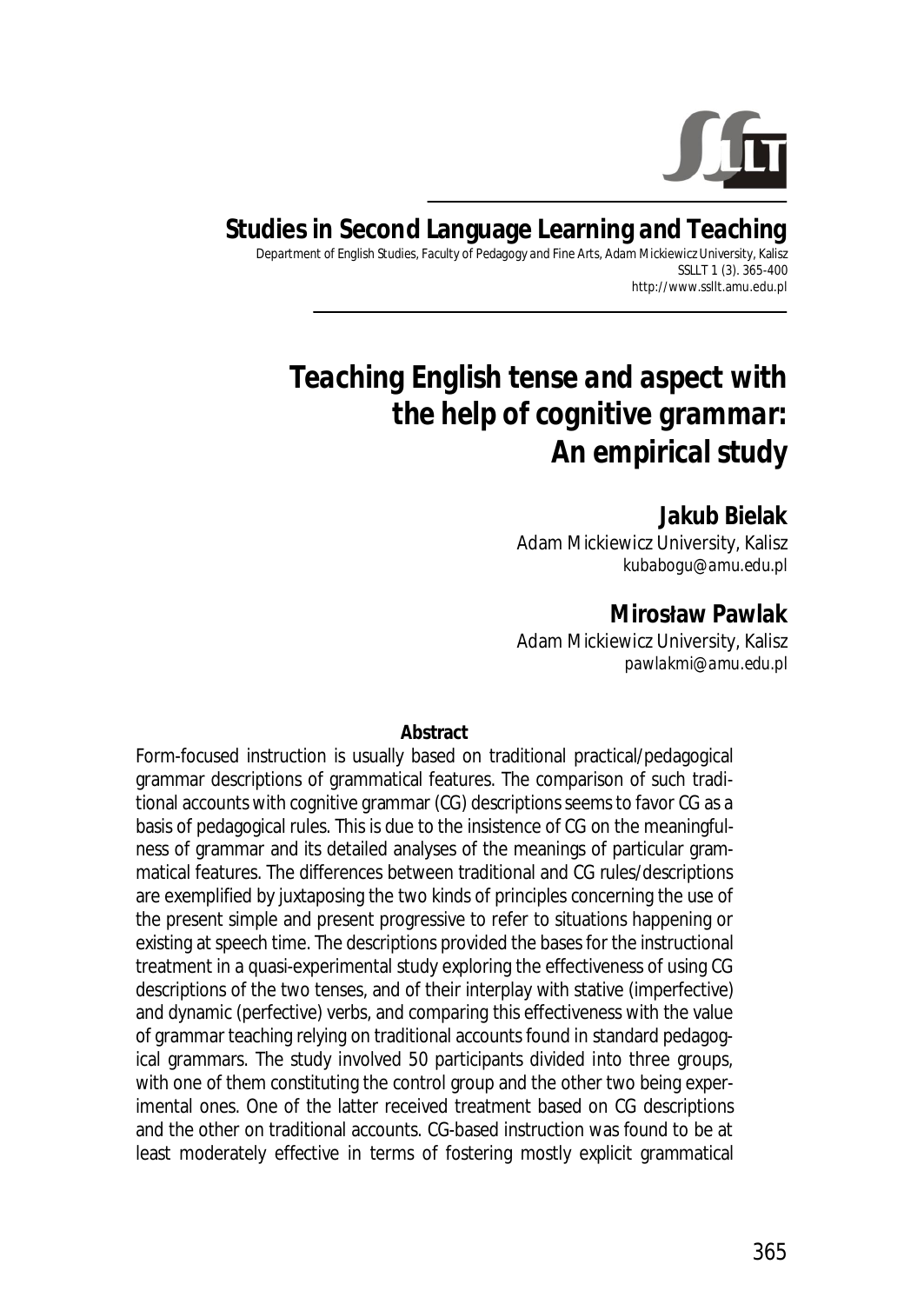

#### **Studies in Second Language Learning and Teaching**  Department of English Studies, Faculty of Pedagogy and Fine Arts, Adam Mickiewicz University, Kalisz

SSLLT 1 (3). 365-400 http://www.ssllt.amu.edu.pl

# *Teaching English tense and aspect with the help of cognitive grammar: An empirical study*

**Jakub Bielak**  Adam Mickiewicz University, Kalisz *kubabogu@amu.edu.pl*

**Mirosųaw Pawlak**  Adam Mickiewicz University, Kalisz *pawlakmi@amu.edu.pl*

**Abstract** 

Form-focused instruction is usually based on traditional practical/pedagogical grammar descriptions of grammatical features. The comparison of such traditional accounts with cognitive grammar (CG) descriptions seems to favor CG as a basis of pedagogical rules. This is due to the insistence of CG on the meaningfulness of grammar and its detailed analyses of the meanings of particular grammatical features. The differences between traditional and CG rules/descriptions are exemplified by juxtaposing the two kinds of principles concerning the use of the present simple and present progressive to refer to situations happening or existing at speech time. The descriptions provided the bases for the instructional treatment in a quasi-experimental study exploring the effectiveness of using CG descriptions of the two tenses, and of their interplay with stative (imperfective) and dynamic (perfective) verbs, and comparing this effectiveness with the value of grammar teaching relying on traditional accounts found in standard pedagogical grammars. The study involved 50 participants divided into three groups, with one of them constituting the control group and the other two being experimental ones. One of the latter received treatment based on CG descriptions and the other on traditional accounts. CG-based instruction was found to be at least moderately effective in terms of fostering mostly explicit grammatical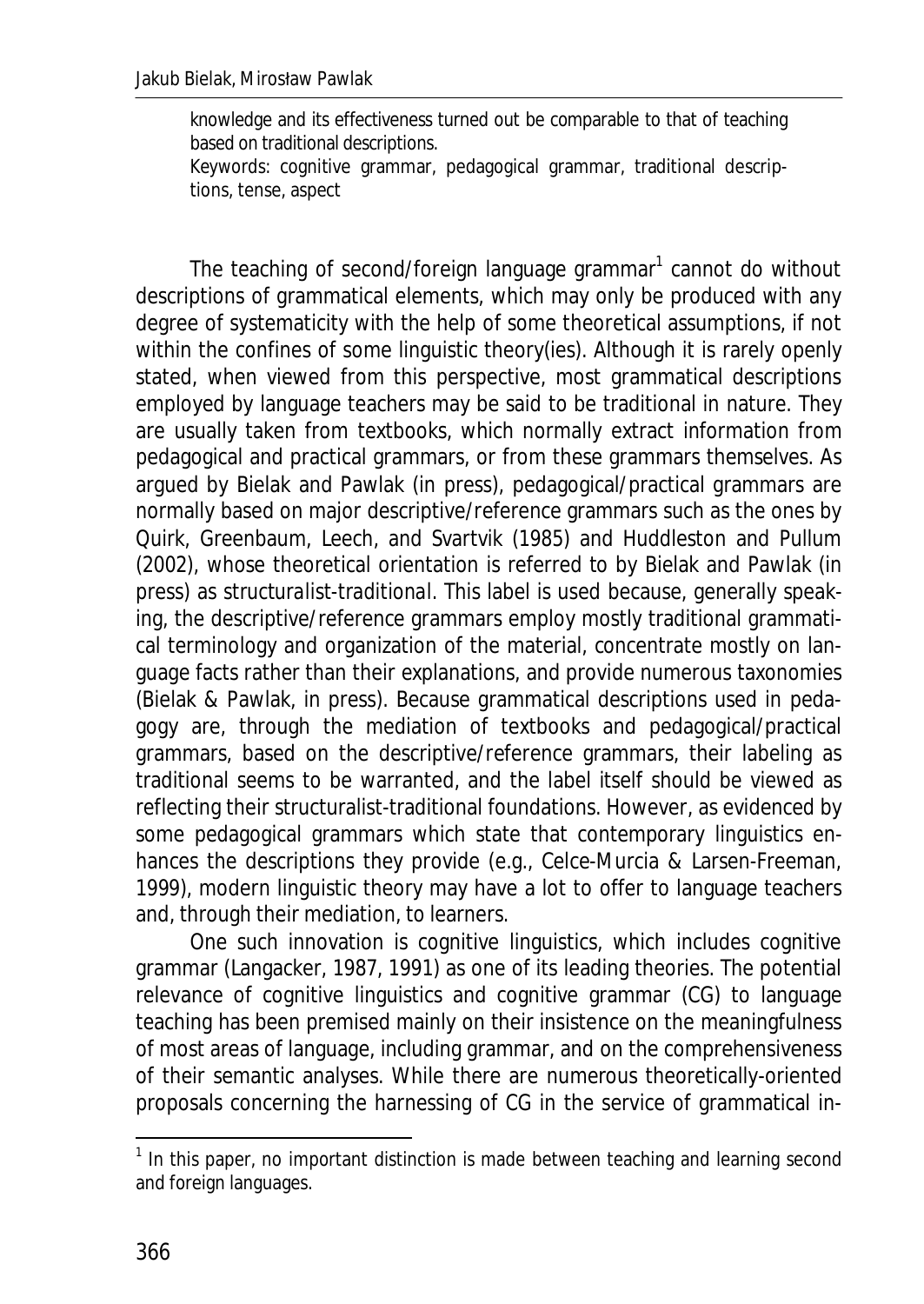knowledge and its effectiveness turned out be comparable to that of teaching based on traditional descriptions.

*Keywords*: cognitive grammar, pedagogical grammar, traditional descriptions, tense, aspect

The teaching of second/foreign language grammar<sup>1</sup> cannot do without descriptions of grammatical elements, which may only be produced with any degree of systematicity with the help of some theoretical assumptions, if not within the confines of some linguistic theory(ies). Although it is rarely openly stated, when viewed from this perspective, most grammatical descriptions employed by language teachers may be said to be traditional in nature. They are usually taken from textbooks, which normally extract information from pedagogical and practical grammars, or from these grammars themselves. As argued by Bielak and Pawlak (in press), pedagogical/practical grammars are normally based on major descriptive/reference grammars such as the ones by Quirk, Greenbaum, Leech, and Svartvik (1985) and Huddleston and Pullum (2002), whose theoretical orientation is referred to by Bielak and Pawlak (in press) as *structuralist-traditional*. This label is used because, generally speaking, the descriptive/reference grammars employ mostly traditional grammatical terminology and organization of the material, concentrate mostly on language facts rather than their explanations, and provide numerous taxonomies (Bielak & Pawlak, in press). Because grammatical descriptions used in pedagogy are, through the mediation of textbooks and pedagogical/practical grammars, based on the descriptive/reference grammars, their labeling as traditional seems to be warranted, and the label itself should be viewed as reflecting their structuralist-traditional foundations. However, as evidenced by some pedagogical grammars which state that contemporary linguistics enhances the descriptions they provide (e.g., Celce-Murcia & Larsen-Freeman, 1999), modern linguistic theory may have a lot to offer to language teachers and, through their mediation, to learners.

One such innovation is cognitive linguistics, which includes cognitive grammar (Langacker, 1987, 1991) as one of its leading theories. The potential relevance of cognitive linguistics and cognitive grammar (CG) to language teaching has been premised mainly on their insistence on the meaningfulness of most areas of language, including grammar, and on the comprehensiveness of their semantic analyses. While there are numerous theoretically-oriented proposals concerning the harnessing of CG in the service of grammatical in-

TO THE TREST THE TREAD THE TREAD TREAD TREAD TREAD TREAD TREAD TREAD TREAD TREAD TREAD TREAD TREAD TREAD TREAD I<br>The this paper, no important distinction is made between teaching and learning second and foreign languages.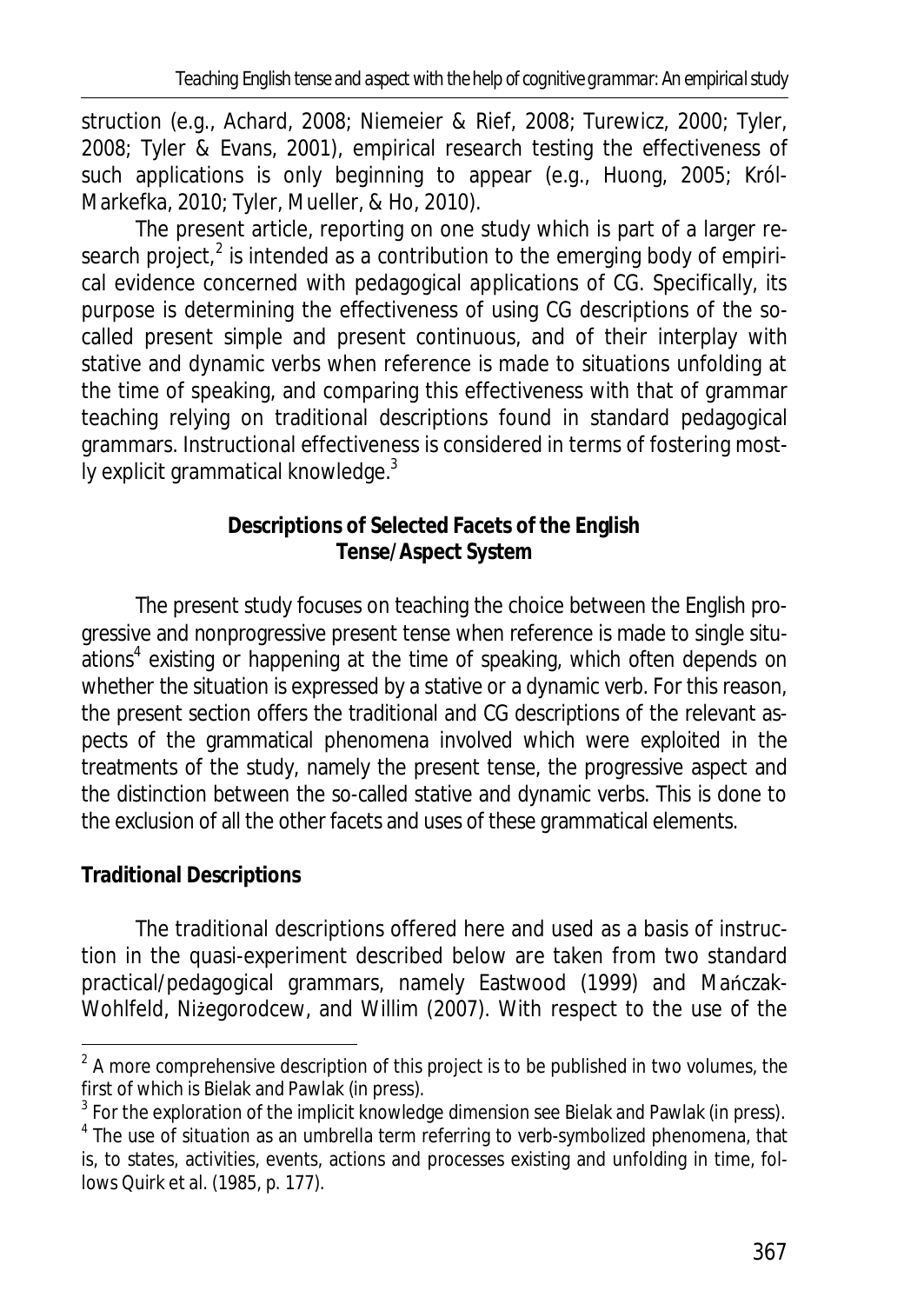struction (e.g., Achard, 2008; Niemeier & Rief, 2008; Turewicz, 2000; Tyler, 2008; Tyler & Evans, 2001), empirical research testing the effectiveness of such applications is only beginning to appear (e.g., Huong, 2005; Król-Markefka, 2010; Tyler, Mueller, & Ho, 2010).

The present article, reporting on one study which is part of a larger research project, $^2$  is intended as a contribution to the emerging body of empirical evidence concerned with pedagogical applications of CG. Specifically, its purpose is determining the effectiveness of using CG descriptions of the socalled present simple and present continuous, and of their interplay with stative and dynamic verbs when reference is made to situations unfolding at the time of speaking, and comparing this effectiveness with that of grammar teaching relying on traditional descriptions found in standard pedagogical grammars. Instructional effectiveness is considered in terms of fostering mostly explicit grammatical knowledge. $^3$ 

# **Descriptions of Selected Facets of the English Tense/Aspect System**

The present study focuses on teaching the choice between the English progressive and nonprogressive present tense when reference is made to single situations<sup>4</sup> existing or happening at the time of speaking, which often depends on whether the situation is expressed by a stative or a dynamic verb. For this reason, the present section offers the traditional and CG descriptions of the relevant aspects of the grammatical phenomena involved which were exploited in the treatments of the study, namely the present tense, the progressive aspect and the distinction between the so-called stative and dynamic verbs. This is done to the exclusion of all the other facets and uses of these grammatical elements.

# **Traditional Descriptions**

The traditional descriptions offered here and used as a basis of instruction in the quasi-experiment described below are taken from two standard practical/pedagogical grammars, namely Eastwood (1999) and Manczak-Wohlfeld, Niżegorodcew, and Willim (2007). With respect to the use of the

 $\frac{2}{3}$  A more comprehensive description of this project is to be published in two volumes, the first of which is Bielak and Pawlak (in press).

 $^3$  For the exploration of the implicit knowledge dimension see Bielak and Pawlak (in press).

<sup>4</sup> The use of *situation* as an umbrella term referring to verb-symbolized phenomena, that is, to states, activities, events, actions and processes existing and unfolding in time, follows Quirk et al. (1985, p. 177).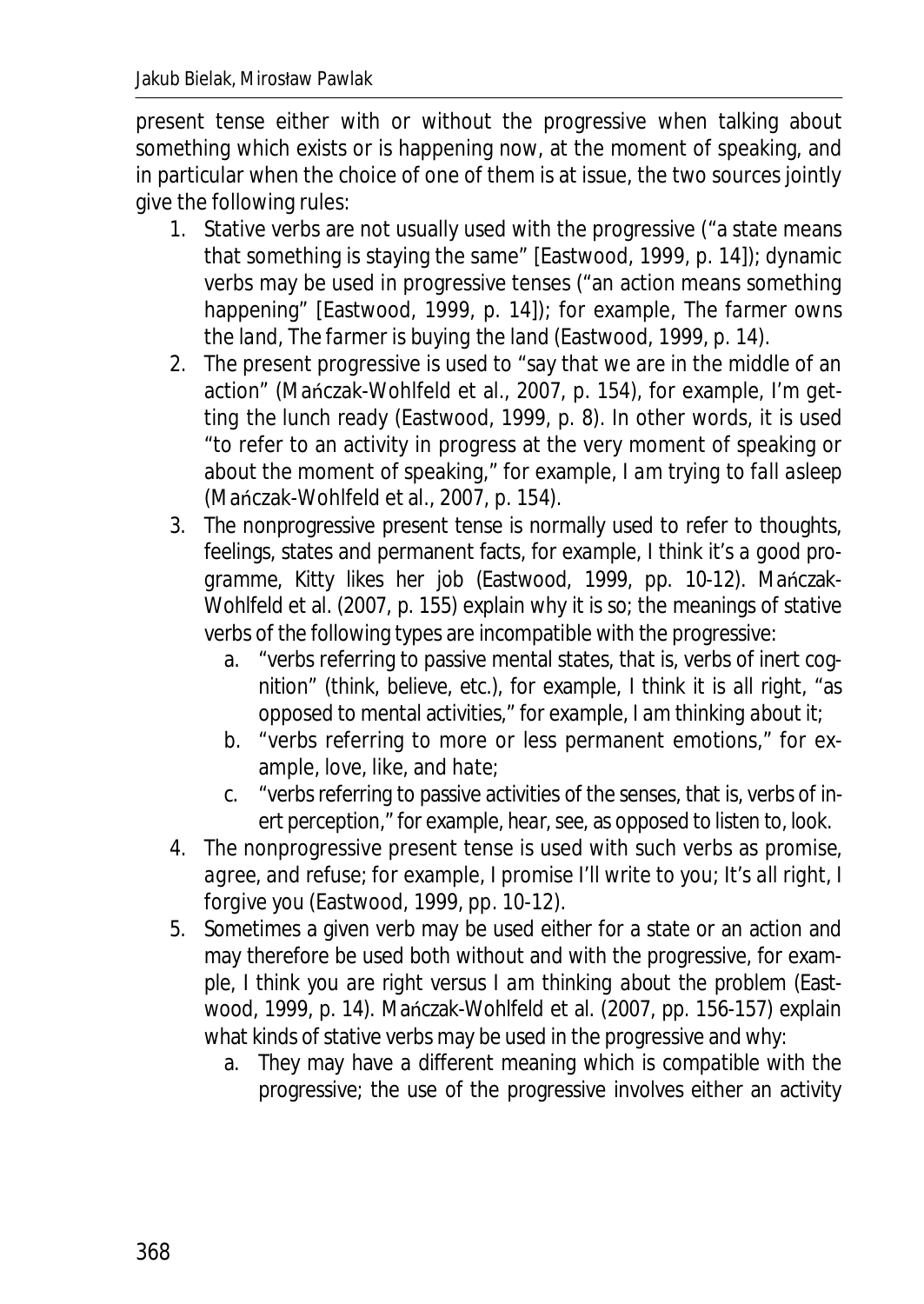present tense either with or without the progressive when talking about something which exists or is happening now, at the moment of speaking, and in particular when the choice of one of them is at issue, the two sources jointly give the following rules:

- 1. Stative verbs are not usually used with the progressive ("a state means that something is staying the same" [Eastwood, 1999, p. 14]); dynamic verbs may be used in progressive tenses ("an action means something happening" [Eastwood, 1999, p. 14]); for example*, The farmer owns the land*, *The farmer is buying the land* (Eastwood, 1999, p. 14).
- 2. The present progressive is used to "say that we are in the middle of an action" (Mańczak-Wohlfeld et al., 2007, p. 154), for example, I'm get*ting the lunch ready* (Eastwood, 1999, p. 8). In other words, it is used "to refer to an activity in progress at the very moment of speaking or about the moment of speaking," for example, *I am trying to fall asleep* (Mańczak-Wohlfeld et al., 2007, p. 154).
- 3. The nonprogressive present tense is normally used to refer to thoughts, feelings, states and permanent facts, for example, *I think it's a good pro*gramme, Kitty likes her job (Eastwood, 1999, pp. 10-12). Mańczak-Wohlfeld et al. (2007, p. 155) explain why it is so; the meanings of stative verbs of the following types are incompatible with the progressive:
	- a. "verbs referring to passive mental states, that is, verbs of inert cognition" (*think*, *believe*, etc.), for example*, I think it is all right*, "as opposed to mental activities," for example, *I am thinking about it*;
	- b. "verbs referring to more or less permanent emotions," for example, *love*, *like*, and *hate*;
	- c. "verbs referring to passive activities of the senses, that is, verbs of inert perception," for example, *hear*, *see,* as opposed to *listen to*, *look.*
- 4. The nonprogressive present tense is used with such verbs as *promise*, *agree*, and *refuse*; for example*, I promise I'll write to you*; *It's all right*, *I forgive you* (Eastwood, 1999, pp. 10-12).
- 5. Sometimes a given verb may be used either for a state or an action and may therefore be used both without and with the progressive, for example*, I think you are right* versus *I am thinking about the problem* (Eastwood, 1999, p. 14). Mańczak-Wohlfeld et al. (2007, pp. 156-157) explain what kinds of stative verbs may be used in the progressive and why:
	- a. They may have a different meaning which is compatible with the progressive; the use of the progressive involves either an activity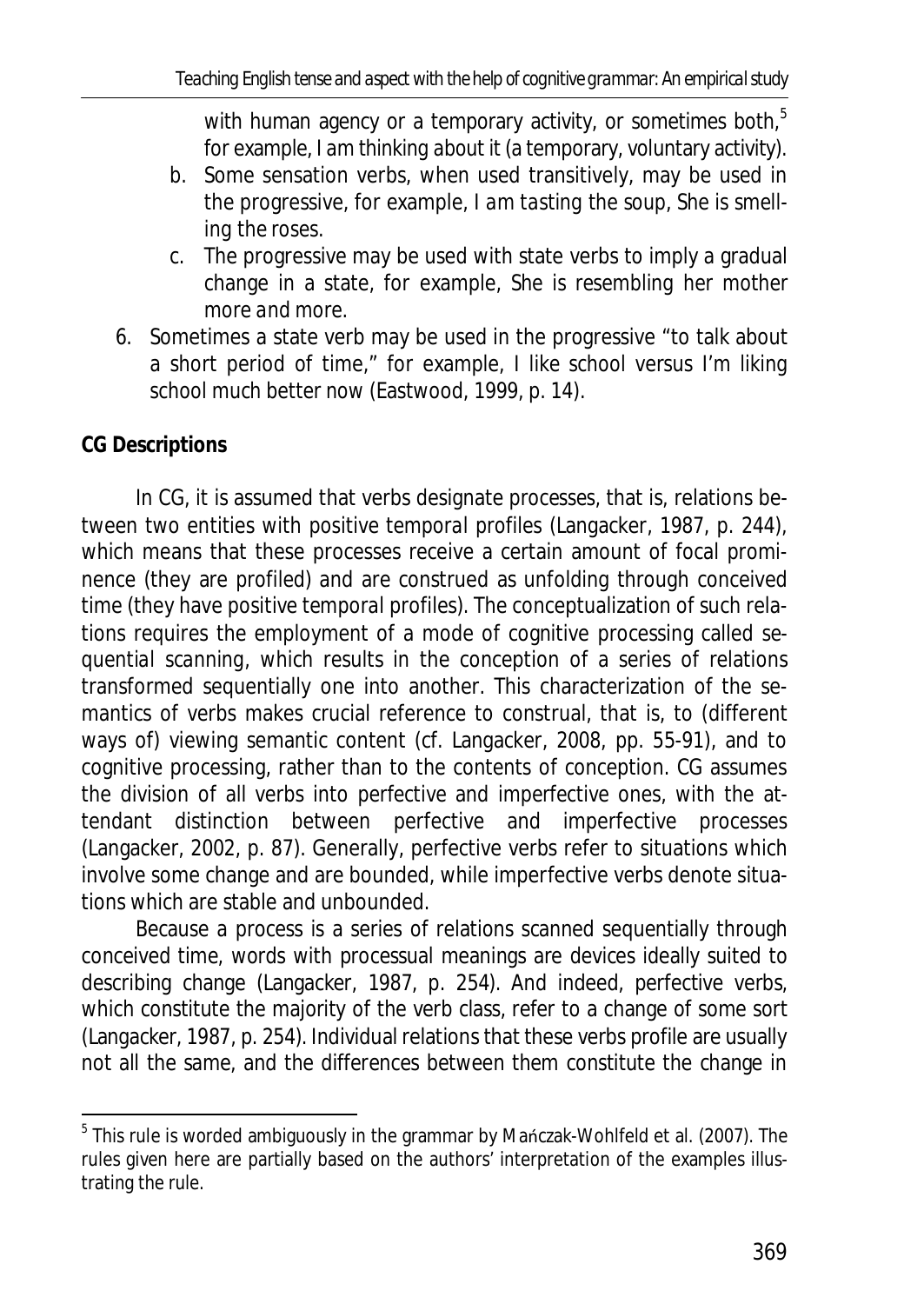with human agency or a temporary activity, or sometimes both, $5$ for example, *I am thinking about it* (a temporary, voluntary activity).

- b. Some sensation verbs, when used transitively, may be used in the progressive, for example, *I am tasting the soup*, *She is smelling the roses*.
- c. The progressive may be used with state verbs to imply a gradual change in a state, for example, *She is resembling her mother more and more*.
- 6. Sometimes a state verb may be used in the progressive "to talk about a short period of time," for example*, I like school* versus *I'm liking school much better now* (Eastwood, 1999, p. 14).

# **CG Descriptions**

In CG, it is assumed that verbs designate *processes*, that is, relations between two entities with *positive temporal profiles* (Langacker, 1987, p. 244), which means that these processes receive a certain amount of focal prominence (they are *profiled*) and are construed as unfolding through conceived time (they have *positive temporal* profiles). The conceptualization of such relations requires the employment of a mode of cognitive processing called *sequential scanning*, which results in the conception of a series of relations transformed sequentially one into another. This characterization of the semantics of verbs makes crucial reference to construal, that is, to (different ways of) viewing semantic content (cf. Langacker, 2008, pp. 55-91), and to cognitive processing, rather than to the contents of conception. CG assumes the division of all verbs into *perfective* and *imperfective* ones, with the attendant distinction between perfective and imperfective processes (Langacker, 2002, p. 87). Generally, perfective verbs refer to situations which involve some change and are bounded, while imperfective verbs denote situations which are stable and unbounded.

Because a process is a series of relations scanned sequentially through conceived time, words with processual meanings are devices ideally suited to describing change (Langacker, 1987, p. 254). And indeed, perfective verbs, which constitute the majority of the verb class, refer to a change of some sort (Langacker, 1987, p. 254). Individual relations that these verbs profile are usually not all the same, and the differences between them constitute the change in

<sup>&</sup>lt;u>.</u><br><sup>5</sup> This rule is worded ambiguously in the grammar by Mańczak-Wohlfeld et al. (2007). The rules given here are partially based on the authors' interpretation of the examples illustrating the rule.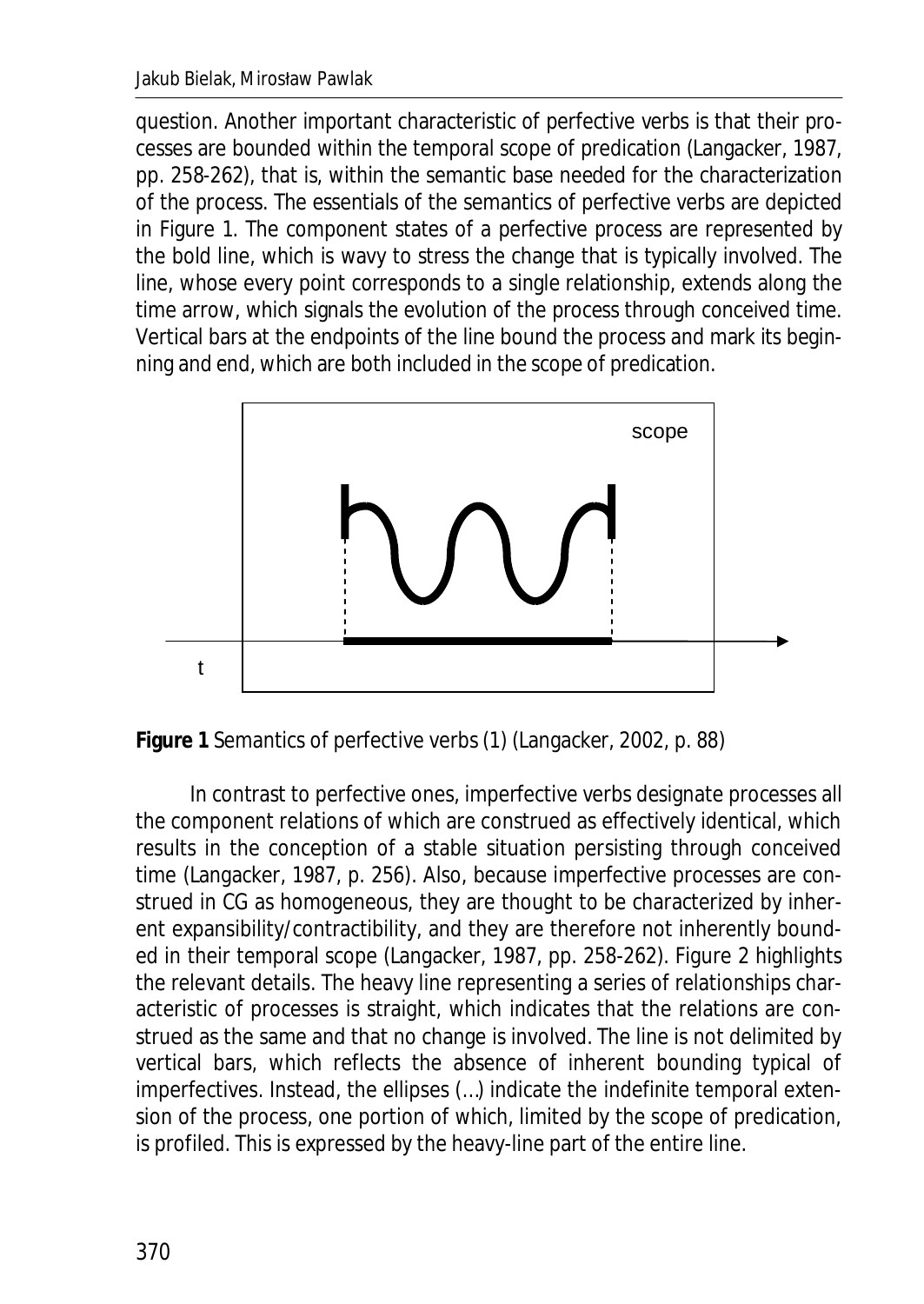question. Another important characteristic of perfective verbs is that their processes are bounded within the temporal scope of predication (Langacker, 1987, pp. 258-262), that is, within the semantic base needed for the characterization of the process. The essentials of the semantics of perfective verbs are depicted in Figure 1. The component states of a perfective process are represented by the bold line, which is wavy to stress the change that is typically involved. The line, whose every point corresponds to a single relationship, extends along the time arrow, which signals the evolution of the process through conceived time. Vertical bars at the endpoints of the line bound the process and mark its beginning and end, which are both included in the scope of predication.





In contrast to perfective ones, imperfective verbs designate processes all the component relations of which are construed as effectively identical, which results in the conception of a stable situation persisting through conceived time (Langacker, 1987, p. 256). Also, because imperfective processes are construed in CG as homogeneous, they are thought to be characterized by inherent expansibility/contractibility, and they are therefore not inherently bounded in their temporal scope (Langacker, 1987, pp. 258-262). Figure 2 highlights the relevant details. The heavy line representing a series of relationships characteristic of processes is straight, which indicates that the relations are construed as the same and that no change is involved. The line is not delimited by vertical bars, which reflects the absence of inherent bounding typical of imperfectives. Instead, the ellipses (…) indicate the indefinite temporal extension of the process, one portion of which, limited by the scope of predication, is profiled. This is expressed by the heavy-line part of the entire line.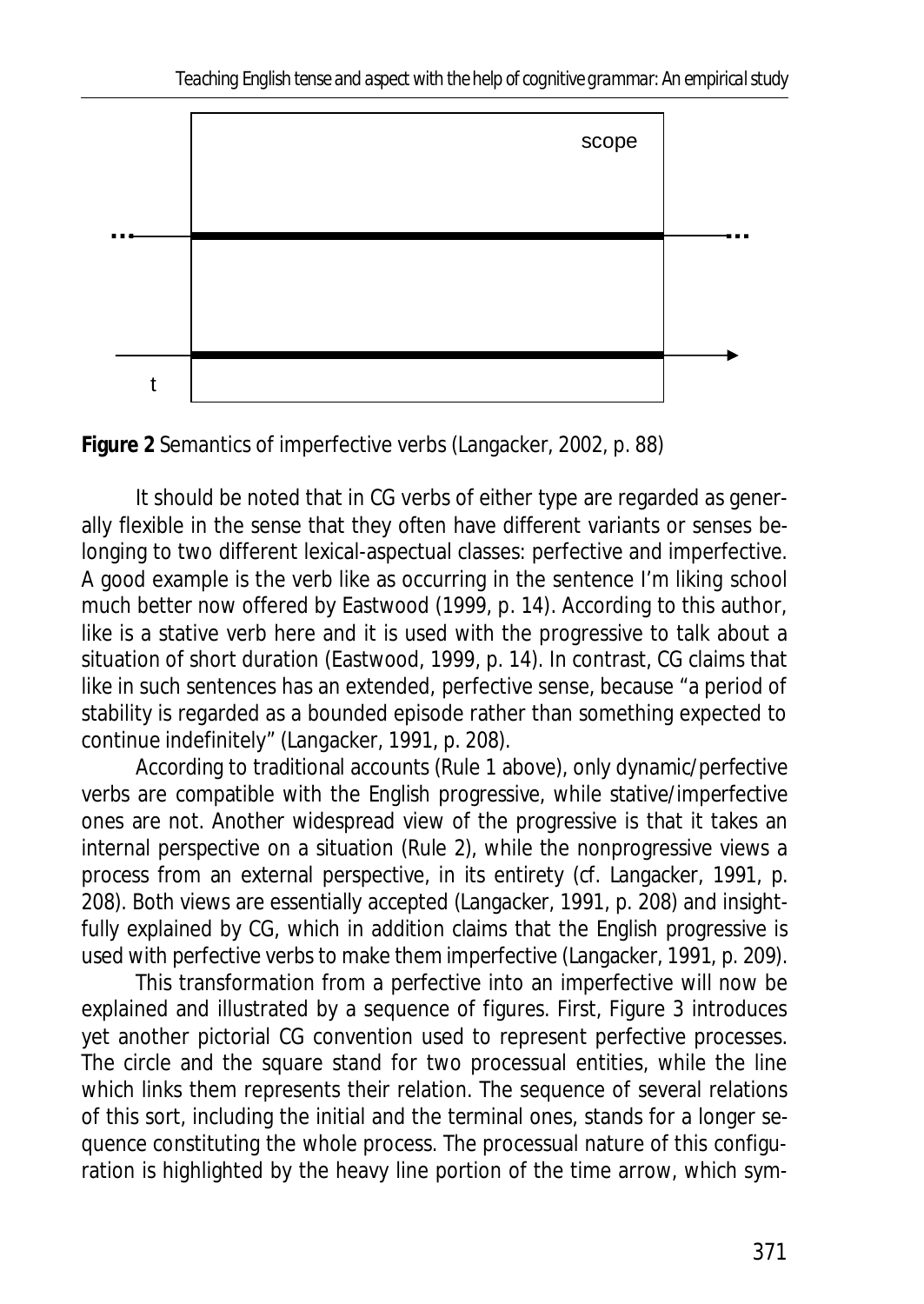

**Figure 2** Semantics of imperfective verbs (Langacker, 2002, p. 88)

It should be noted that in CG verbs of either type are regarded as generally flexible in the sense that they often have different variants or senses belonging to two different lexical-aspectual classes: perfective and imperfective. A good example is the verb *like* as occurring in the sentence *I'm liking school much better now* offered by Eastwood (1999, p. 14). According to this author, *like* is a stative verb here and it is used with the progressive to talk about a situation of short duration (Eastwood, 1999, p. 14). In contrast, CG claims that *like* in such sentences has an extended, perfective sense, because "a period of stability is regarded as a bounded episode rather than something expected to continue indefinitely" (Langacker, 1991, p. 208).

According to traditional accounts (Rule 1 above), only dynamic/perfective verbs are compatible with the English progressive, while stative/imperfective ones are not. Another widespread view of the progressive is that it takes an internal perspective on a situation (Rule 2), while the nonprogressive views a process from an external perspective, in its entirety (cf. Langacker, 1991, p. 208). Both views are essentially accepted (Langacker, 1991, p. 208) and insightfully explained by CG, which in addition claims that the English progressive is used with perfective verbs to make them imperfective (Langacker, 1991, p. 209).

This transformation from a perfective into an imperfective will now be explained and illustrated by a sequence of figures. First, Figure 3 introduces yet another pictorial CG convention used to represent perfective processes. The circle and the square stand for two processual entities, while the line which links them represents their relation. The sequence of several relations of this sort, including the initial and the terminal ones, stands for a longer sequence constituting the whole process. The processual nature of this configuration is highlighted by the heavy line portion of the time arrow, which sym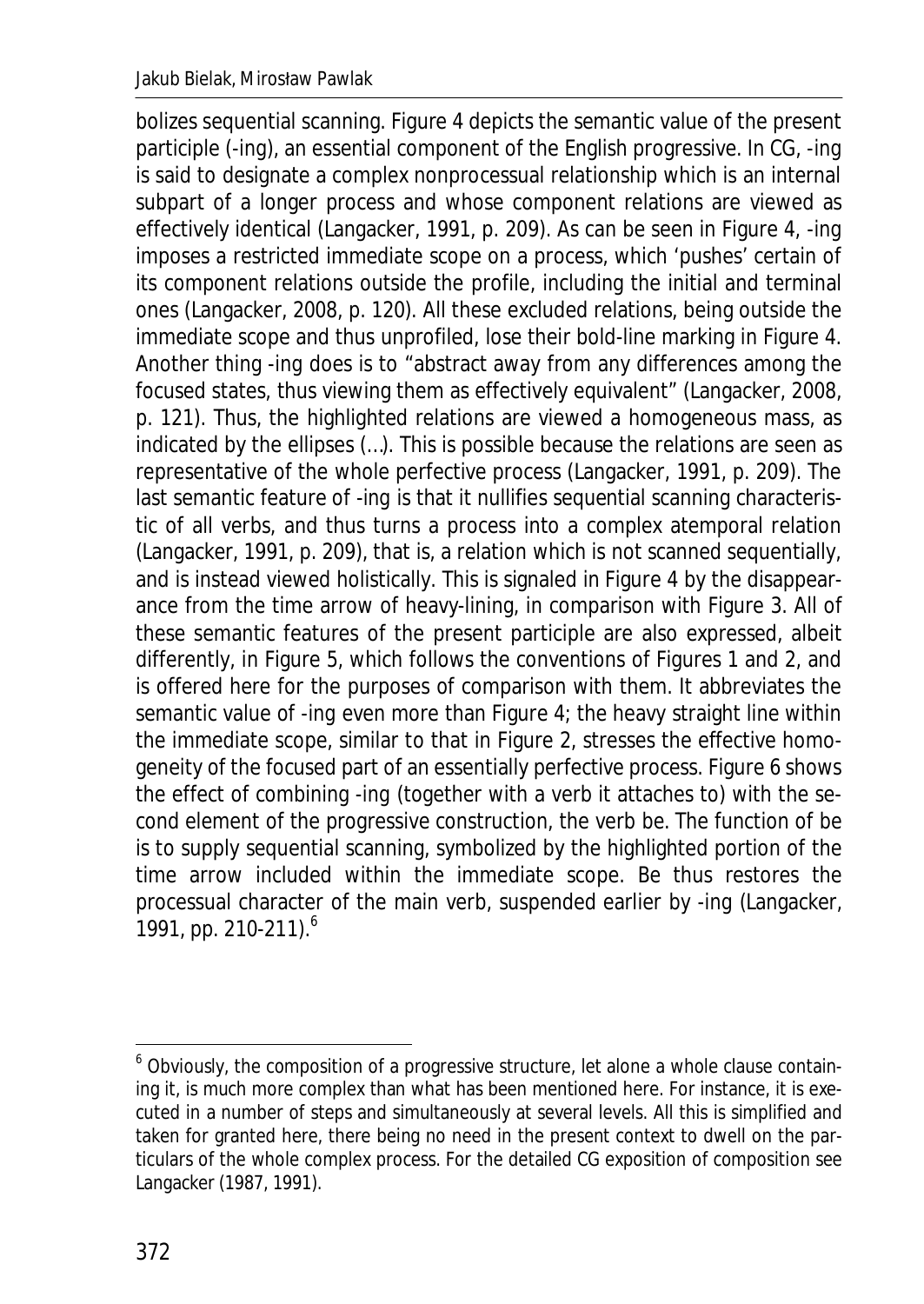bolizes sequential scanning. Figure 4 depicts the semantic value of the present participle (-*ing*), an essential component of the English progressive. In CG, -*ing* is said to designate a complex nonprocessual relationship which is an internal subpart of a longer process and whose component relations are viewed as effectively identical (Langacker, 1991, p. 209). As can be seen in Figure 4, -*ing* imposes a restricted immediate scope on a process, which 'pushes' certain of its component relations outside the profile, including the initial and terminal ones (Langacker, 2008, p. 120). All these excluded relations, being outside the immediate scope and thus unprofiled, lose their bold-line marking in Figure 4. Another thing -*ing* does is to "abstract away from any differences among the focused states, thus viewing them as effectively equivalent" (Langacker, 2008, p. 121). Thus, the highlighted relations are viewed a homogeneous mass, as indicated by the ellipses (…). This is possible because the relations are seen as representative of the whole perfective process (Langacker, 1991, p. 209). The last semantic feature of -*ing* is that it nullifies sequential scanning characteristic of all verbs, and thus turns a process into a complex atemporal relation (Langacker, 1991, p. 209), that is, a relation which is not scanned sequentially, and is instead viewed holistically. This is signaled in Figure 4 by the disappearance from the time arrow of heavy-lining, in comparison with Figure 3. All of these semantic features of the present participle are also expressed, albeit differently, in Figure 5, which follows the conventions of Figures 1 and 2, and is offered here for the purposes of comparison with them. It abbreviates the semantic value of -*ing* even more than Figure 4; the heavy straight line within the immediate scope, similar to that in Figure 2, stresses the effective homogeneity of the focused part of an essentially perfective process. Figure 6 shows the effect of combining -*ing* (together with a verb it attaches to) with the second element of the progressive construction, the verb *be*. The function of *be* is to supply sequential scanning, symbolized by the highlighted portion of the time arrow included within the immediate scope. *Be* thus restores the processual character of the main verb, suspended earlier by -*ing* (Langacker, 1991, pp. 210-211).<sup>6</sup>

 6 Obviously, the composition of a progressive structure, let alone a whole clause containing it, is much more complex than what has been mentioned here. For instance, it is executed in a number of steps and simultaneously at several levels. All this is simplified and taken for granted here, there being no need in the present context to dwell on the particulars of the whole complex process. For the detailed CG exposition of composition see Langacker (1987, 1991).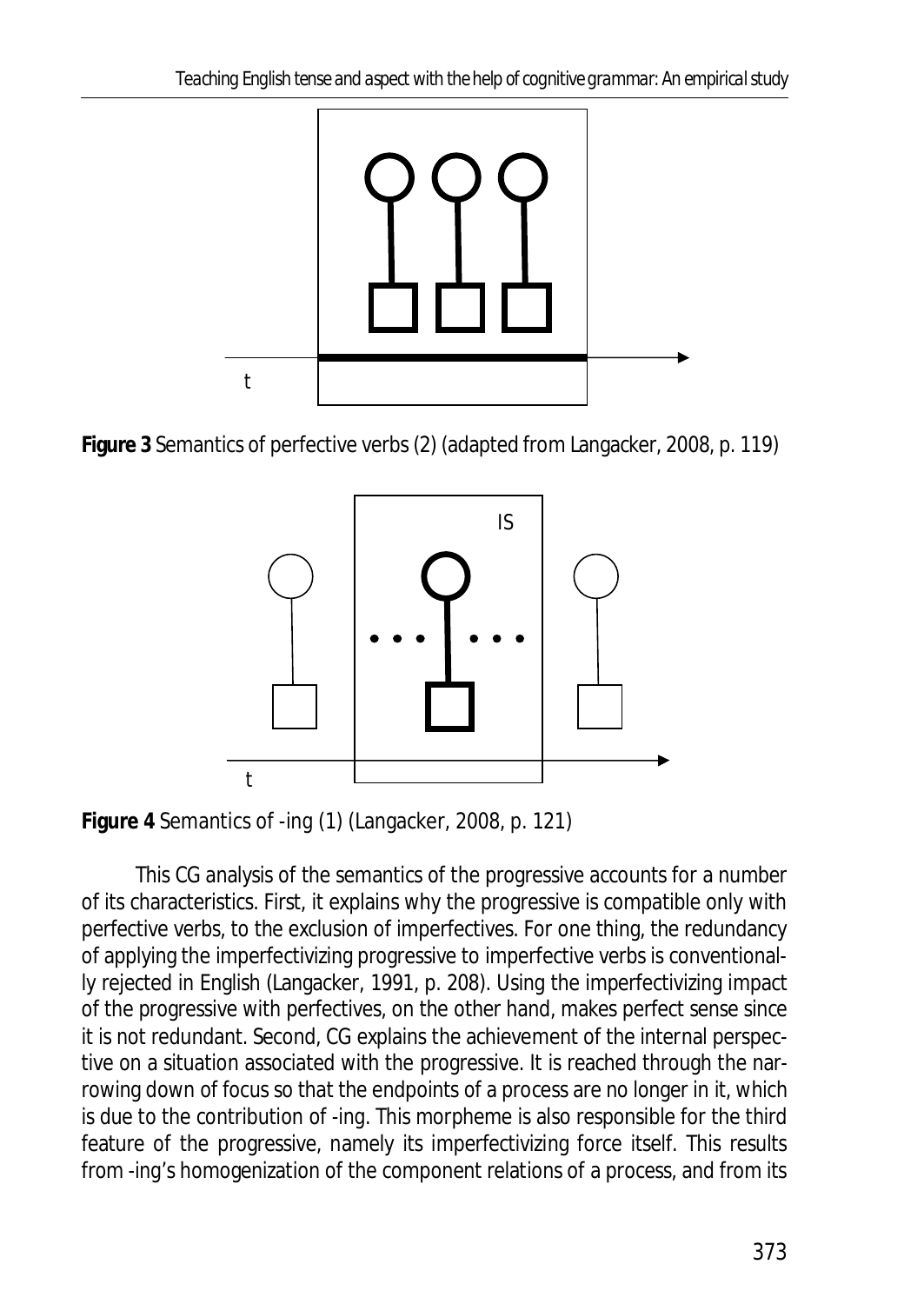

**Figure 3** Semantics of perfective verbs (2) (adapted from Langacker, 2008, p. 119)



**Figure 4** Semantics of -*ing* (1) (Langacker, 2008, p. 121)

This CG analysis of the semantics of the progressive accounts for a number of its characteristics. First, it explains why the progressive is compatible only with perfective verbs, to the exclusion of imperfectives. For one thing, the redundancy of applying the imperfectivizing progressive to imperfective verbs is conventionally rejected in English (Langacker, 1991, p. 208). Using the imperfectivizing impact of the progressive with perfectives, on the other hand, makes perfect sense since it is not redundant. Second, CG explains the achievement of the internal perspective on a situation associated with the progressive. It is reached through the narrowing down of focus so that the endpoints of a process are no longer in it, which is due to the contribution of -*ing*. This morpheme is also responsible for the third feature of the progressive, namely its imperfectivizing force itself. This results from -*ing*'s homogenization of the component relations of a process, and from its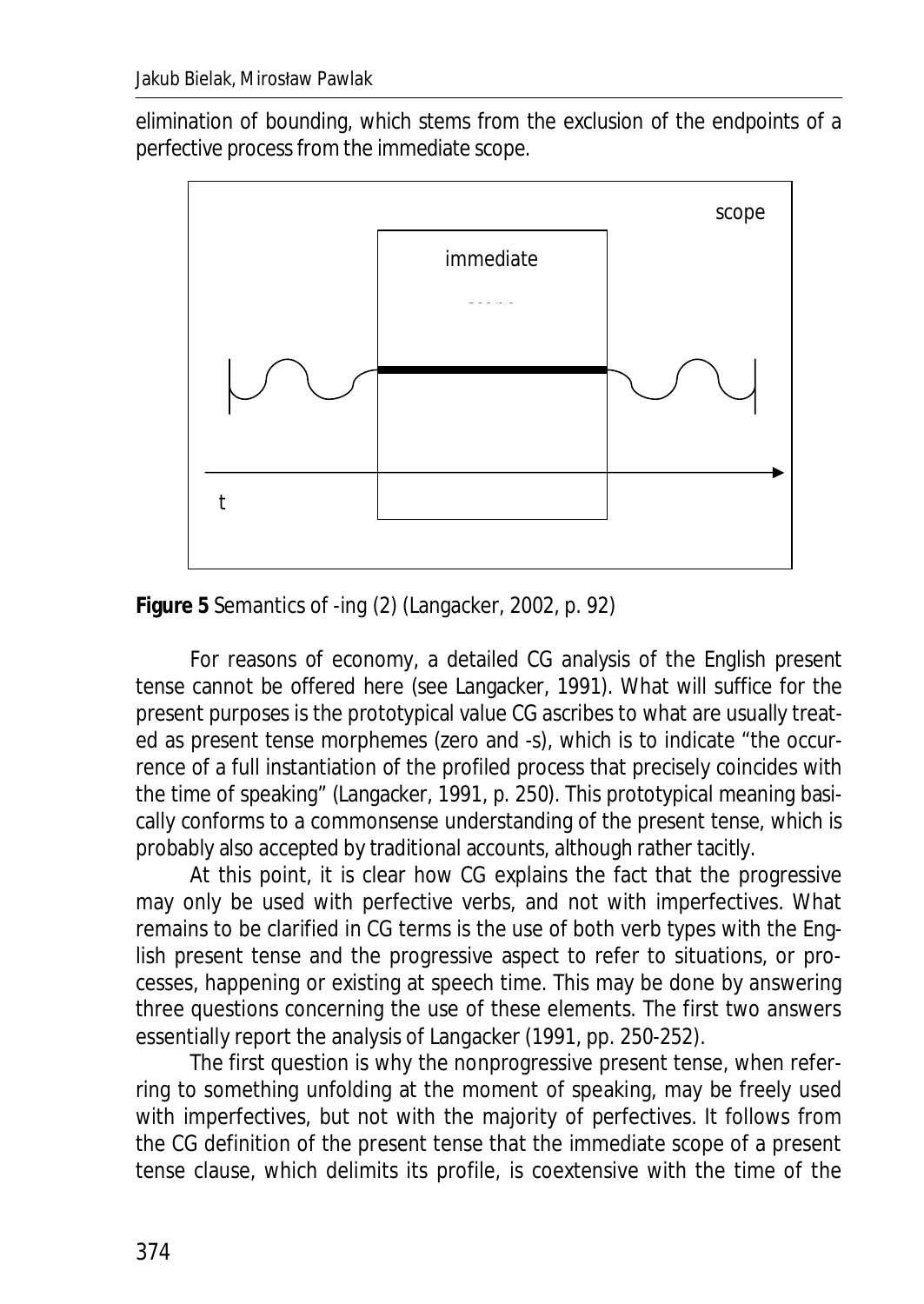elimination of bounding, which stems from the exclusion of the endpoints of a perfective process from the immediate scope.



**Figure 5** Semantics of -*ing* (2) (Langacker, 2002, p. 92)

For reasons of economy, a detailed CG analysis of the English present tense cannot be offered here (see Langacker, 1991). What will suffice for the present purposes is the prototypical value CG ascribes to what are usually treated as present tense morphemes (zero and -*s*), which is to indicate "the occurrence of a full instantiation of the profiled process that precisely coincides with the time of speaking" (Langacker, 1991, p. 250). This prototypical meaning basically conforms to a commonsense understanding of the present tense, which is probably also accepted by traditional accounts, although rather tacitly.

At this point, it is clear how CG explains the fact that the progressive may only be used with perfective verbs, and not with imperfectives. What remains to be clarified in CG terms is the use of both verb types with the English present tense and the progressive aspect to refer to situations, or processes, happening or existing at speech time. This may be done by answering three questions concerning the use of these elements. The first two answers essentially report the analysis of Langacker (1991, pp. 250-252).

The first question is why the nonprogressive present tense, when referring to something unfolding at the moment of speaking, may be freely used with imperfectives, but not with the majority of perfectives. It follows from the CG definition of the present tense that the immediate scope of a present tense clause, which delimits its profile, is coextensive with the time of the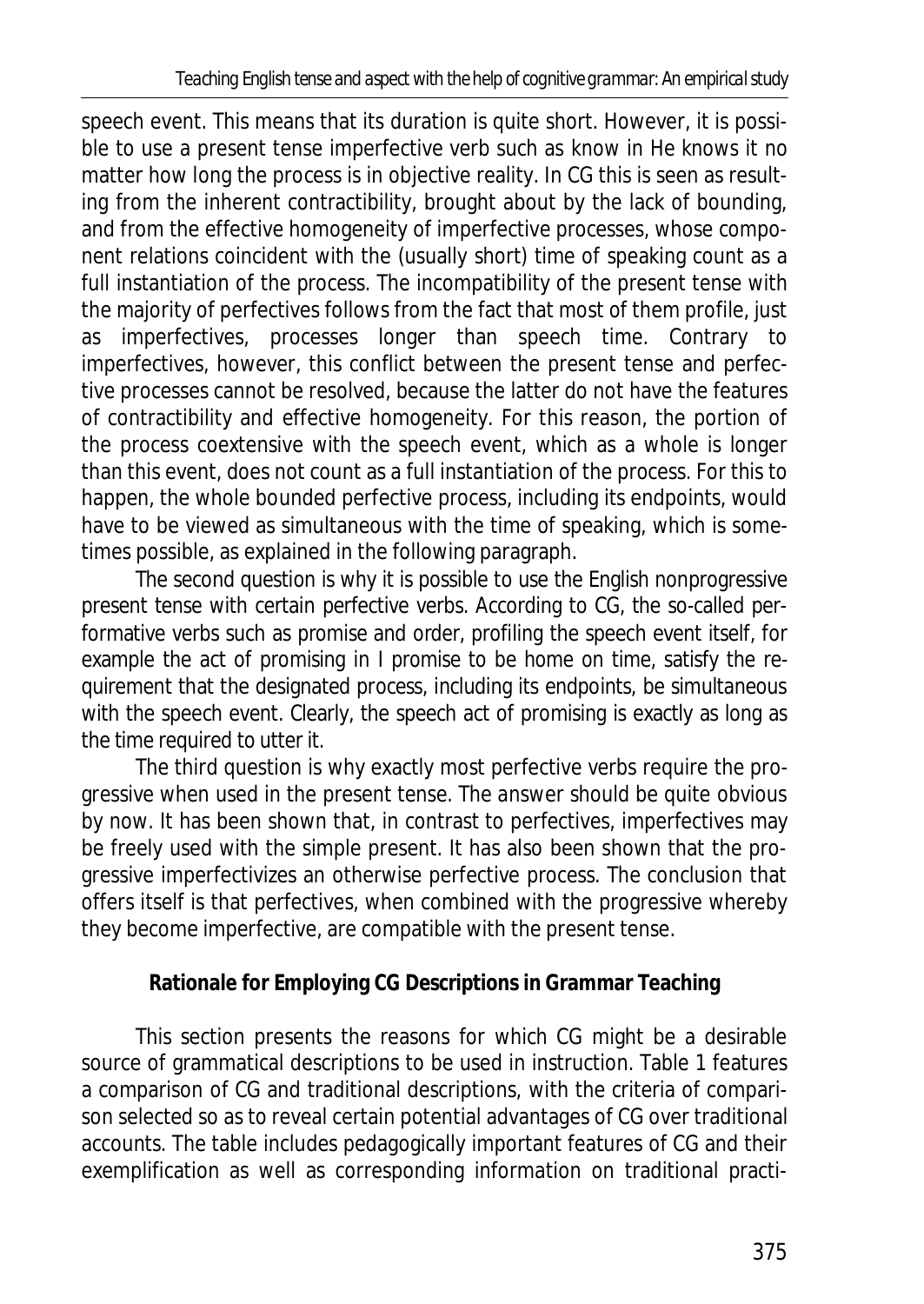speech event. This means that its duration is quite short. However, it is possible to use a present tense imperfective verb such as *know* in *He knows it* no matter how long the process is in objective reality. In CG this is seen as resulting from the inherent contractibility, brought about by the lack of bounding, and from the effective homogeneity of imperfective processes, whose component relations coincident with the (usually short) time of speaking count as a full instantiation of the process. The incompatibility of the present tense with the majority of perfectives follows from the fact that most of them profile, just as imperfectives, processes longer than speech time. Contrary to imperfectives, however, this conflict between the present tense and perfective processes cannot be resolved, because the latter do not have the features of contractibility and effective homogeneity. For this reason, the portion of the process coextensive with the speech event, which as a whole is longer than this event, does not count as a full instantiation of the process. For this to happen, the whole bounded perfective process, including its endpoints, would have to be viewed as simultaneous with the time of speaking, which is sometimes possible, as explained in the following paragraph.

The second question is why it is possible to use the English nonprogressive present tense with certain perfective verbs. According to CG, the so-called performative verbs such as *promise* and *order*, profiling the speech event itself, for example the act of promising in *I promise to be home on time*, satisfy the requirement that the designated process, including its endpoints, be simultaneous with the speech event. Clearly, the speech act of promising is exactly as long as the time required to utter it.

The third question is why exactly most perfective verbs require the progressive when used in the present tense. The answer should be quite obvious by now. It has been shown that, in contrast to perfectives, imperfectives may be freely used with the simple present. It has also been shown that the progressive imperfectivizes an otherwise perfective process. The conclusion that offers itself is that perfectives, when combined with the progressive whereby they become imperfective, are compatible with the present tense.

# **Rationale for Employing CG Descriptions in Grammar Teaching**

This section presents the reasons for which CG might be a desirable source of grammatical descriptions to be used in instruction. Table 1 features a comparison of CG and traditional descriptions, with the criteria of comparison selected so as to reveal certain potential advantages of CG over traditional accounts. The table includes pedagogically important features of CG and their exemplification as well as corresponding information on traditional practi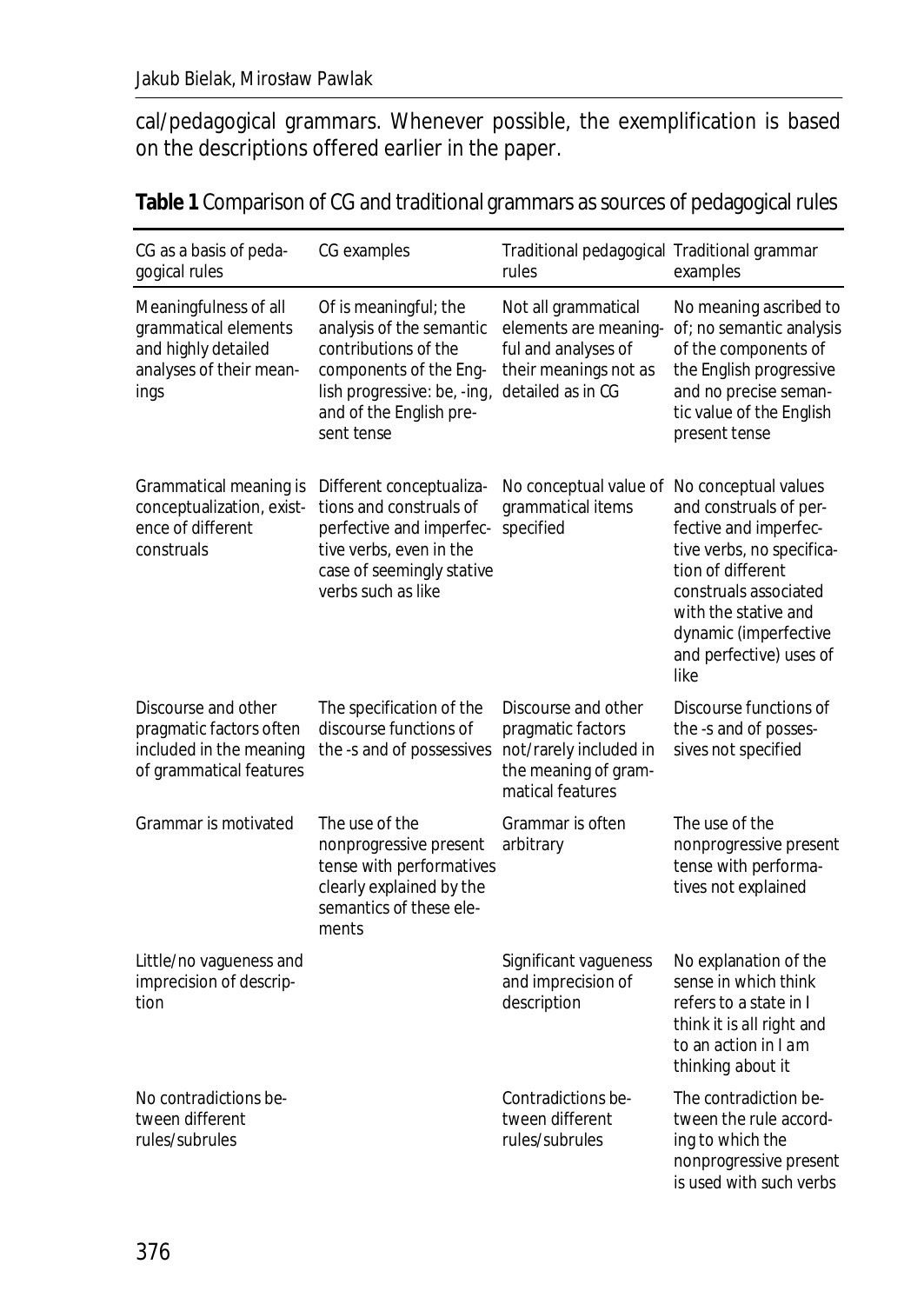cal/pedagogical grammars. Whenever possible, the exemplification is based on the descriptions offered earlier in the paper.

| CG as a basis of peda-<br>gogical rules                                                                 | CG examples                                                                                                                                                                 | Traditional pedagogical Traditional grammar<br>rules                                                              | examples                                                                                                                                                                                                                               |
|---------------------------------------------------------------------------------------------------------|-----------------------------------------------------------------------------------------------------------------------------------------------------------------------------|-------------------------------------------------------------------------------------------------------------------|----------------------------------------------------------------------------------------------------------------------------------------------------------------------------------------------------------------------------------------|
| Meaningfulness of all<br>grammatical elements<br>and highly detailed<br>analyses of their mean-<br>ings | Of is meaningful; the<br>analysis of the semantic<br>contributions of the<br>components of the Eng-<br>lish progressive: be, -ing,<br>and of the English pre-<br>sent tense | Not all grammatical<br>elements are meaning-<br>ful and analyses of<br>their meanings not as<br>detailed as in CG | No meaning ascribed to<br>of; no semantic analysis<br>of the components of<br>the English progressive<br>and no precise seman-<br>tic value of the English<br>present tense                                                            |
| Grammatical meaning is<br>conceptualization, exist-<br>ence of different<br>construals                  | Different conceptualiza-<br>tions and construals of<br>perfective and imperfec-<br>tive verbs, even in the<br>case of seemingly stative<br>verbs such as like               | No conceptual value of<br>grammatical items<br>specified                                                          | No conceptual values<br>and construals of per-<br>fective and imperfec-<br>tive verbs, no specifica-<br>tion of different<br>construals associated<br>with the stative and<br>dynamic (imperfective<br>and perfective) uses of<br>like |
| Discourse and other<br>pragmatic factors often<br>included in the meaning<br>of grammatical features    | The specification of the<br>discourse functions of<br>the -s and of possessives                                                                                             | Discourse and other<br>pragmatic factors<br>not/rarely included in<br>the meaning of gram-<br>matical features    | Discourse functions of<br>the -s and of posses-<br>sives not specified                                                                                                                                                                 |
| Grammar is motivated                                                                                    | The use of the<br>nonprogressive present<br>tense with performatives<br>clearly explained by the<br>semantics of these ele-<br>ments                                        | Grammar is often<br>arbitrary                                                                                     | The use of the<br>nonprogressive present<br>tense with performa-<br>tives not explained                                                                                                                                                |
| Little/no vagueness and<br>imprecision of descrip-<br>tion                                              |                                                                                                                                                                             | Significant vagueness<br>and imprecision of<br>description                                                        | No explanation of the<br>sense in which think<br>refers to a state in I<br>think it is all right and<br>to an action in I am<br>thinking about it                                                                                      |
| No contradictions be-<br>tween different<br>rules/subrules                                              |                                                                                                                                                                             | Contradictions be-<br>tween different<br>rules/subrules                                                           | The contradiction be-<br>tween the rule accord-<br>ing to which the<br>nonprogressive present                                                                                                                                          |

is used with such verbs

# **Table 1** Comparison of CG and traditional grammars as sources of pedagogical rules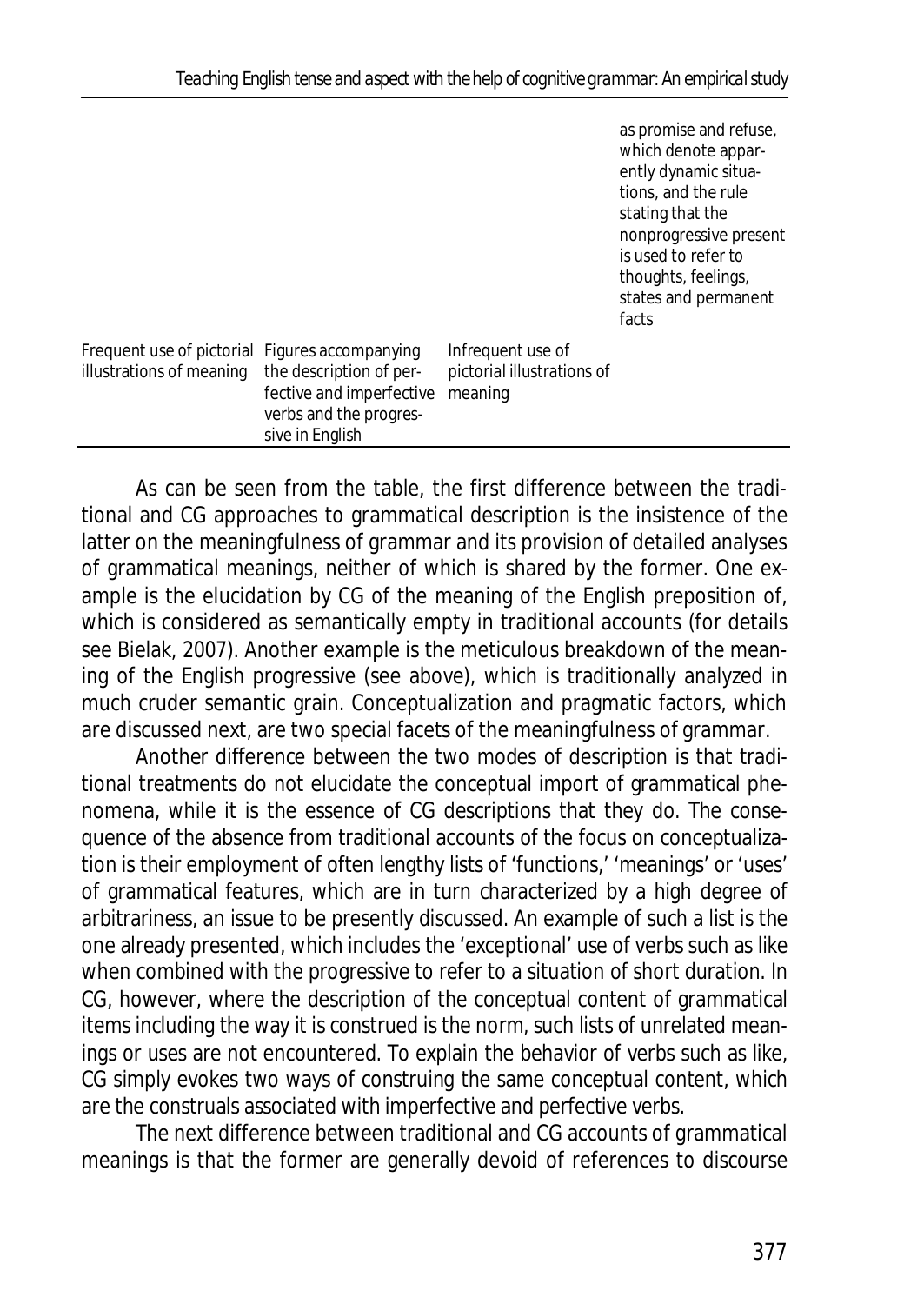| as promise and refuse, |
|------------------------|
| which denote appar-    |
| ently dynamic situa-   |
| tions, and the rule    |
| stating that the       |
| nonprogressive present |
| is used to refer to    |
| thoughts, feelings,    |
| states and permanent   |
| facts                  |

| Frequent use of pictorial Figures accompanying<br>Infrequent use of<br>illustrations of meaning the description of per-<br>pictorial illustrations of<br>fective and imperfective meaning<br>verbs and the progres-<br>sive in English |
|----------------------------------------------------------------------------------------------------------------------------------------------------------------------------------------------------------------------------------------|
|----------------------------------------------------------------------------------------------------------------------------------------------------------------------------------------------------------------------------------------|

As can be seen from the table, the first difference between the traditional and CG approaches to grammatical description is the insistence of the latter on the meaningfulness of grammar and its provision of detailed analyses of grammatical meanings, neither of which is shared by the former. One example is the elucidation by CG of the meaning of the English preposition *of*, which is considered as semantically empty in traditional accounts (for details see Bielak, 2007). Another example is the meticulous breakdown of the meaning of the English progressive (see above), which is traditionally analyzed in much cruder semantic grain. Conceptualization and pragmatic factors, which are discussed next, are two special facets of the meaningfulness of grammar.

Another difference between the two modes of description is that traditional treatments do not elucidate the conceptual import of grammatical phenomena, while it is the essence of CG descriptions that they do. The consequence of the absence from traditional accounts of the focus on conceptualization is their employment of often lengthy lists of 'functions,' 'meanings' or 'uses' of grammatical features, which are in turn characterized by a high degree of arbitrariness, an issue to be presently discussed. An example of such a list is the one already presented, which includes the 'exceptional' use of verbs such as *like* when combined with the progressive to refer to a situation of short duration. In CG, however, where the description of the conceptual content of grammatical items including the way it is construed is the norm, such lists of unrelated meanings or uses are not encountered. To explain the behavior of verbs such as *like*, CG simply evokes two ways of construing the same conceptual content, which are the construals associated with imperfective and perfective verbs.

The next difference between traditional and CG accounts of grammatical meanings is that the former are generally devoid of references to discourse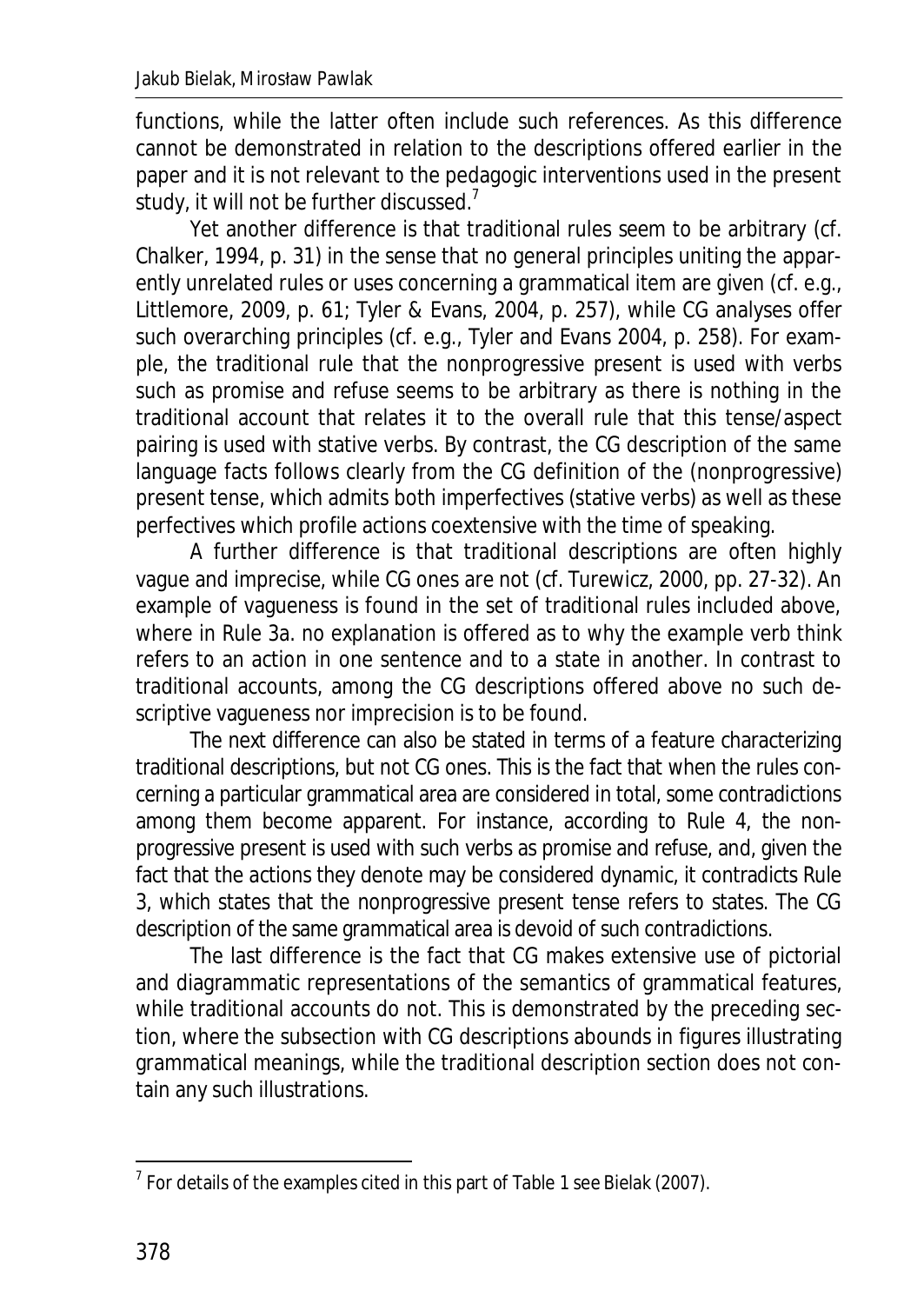functions, while the latter often include such references. As this difference cannot be demonstrated in relation to the descriptions offered earlier in the paper and it is not relevant to the pedagogic interventions used in the present study, it will not be further discussed.<sup>7</sup>

Yet another difference is that traditional rules seem to be arbitrary (cf. Chalker, 1994, p. 31) in the sense that no general principles uniting the apparently unrelated rules or uses concerning a grammatical item are given (cf. e.g., Littlemore, 2009, p. 61; Tyler & Evans, 2004, p. 257), while CG analyses offer such overarching principles (cf. e.g., Tyler and Evans 2004, p. 258). For example, the traditional rule that the nonprogressive present is used with verbs such as *promise* and *refuse* seems to be arbitrary as there is nothing in the traditional account that relates it to the overall rule that this tense/aspect pairing is used with stative verbs. By contrast, the CG description of the same language facts follows clearly from the CG definition of the (nonprogressive) present tense, which admits both imperfectives (stative verbs) as well as these perfectives which profile actions coextensive with the time of speaking.

A further difference is that traditional descriptions are often highly vague and imprecise, while CG ones are not (cf. Turewicz, 2000, pp. 27-32). An example of vagueness is found in the set of traditional rules included above, where in Rule 3a. no explanation is offered as to why the example verb *think* refers to an action in one sentence and to a state in another. In contrast to traditional accounts, among the CG descriptions offered above no such descriptive vagueness nor imprecision is to be found.

The next difference can also be stated in terms of a feature characterizing traditional descriptions, but not CG ones. This is the fact that when the rules concerning a particular grammatical area are considered in total, some contradictions among them become apparent. For instance, according to Rule 4, the nonprogressive present is used with such verbs as *promise* and *refuse*, and, given the fact that the actions they denote may be considered dynamic, it contradicts Rule 3, which states that the nonprogressive present tense refers to states. The CG description of the same grammatical area is devoid of such contradictions.

The last difference is the fact that CG makes extensive use of pictorial and diagrammatic representations of the semantics of grammatical features, while traditional accounts do not. This is demonstrated by the preceding section, where the subsection with CG descriptions abounds in figures illustrating grammatical meanings, while the traditional description section does not contain any such illustrations.

**.** 

 $^7$  For details of the examples cited in this part of Table 1 see Bielak (2007).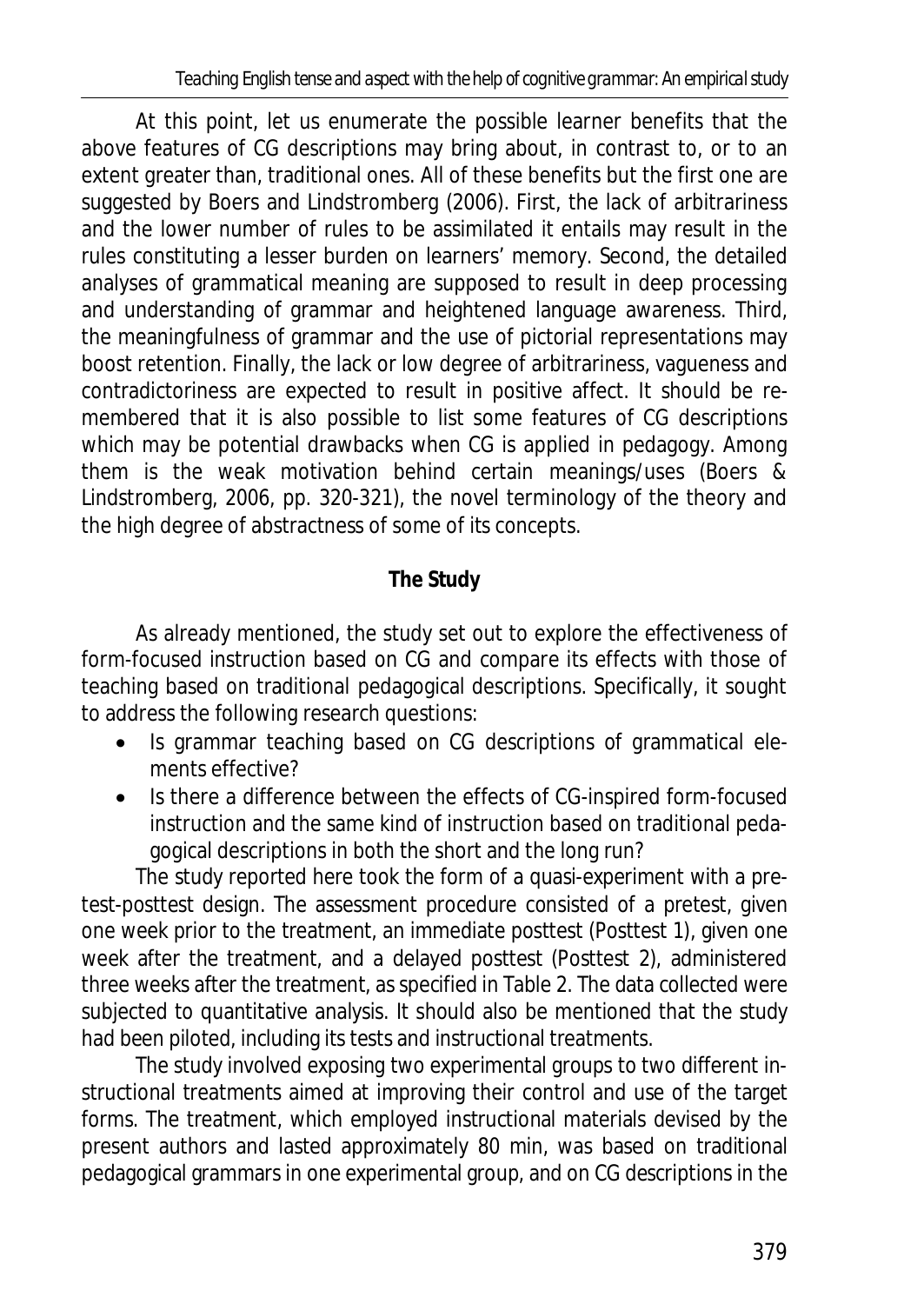At this point, let us enumerate the possible learner benefits that the above features of CG descriptions may bring about, in contrast to, or to an extent greater than, traditional ones. All of these benefits but the first one are suggested by Boers and Lindstromberg (2006). First, the lack of arbitrariness and the lower number of rules to be assimilated it entails may result in the rules constituting a lesser burden on learners' memory. Second, the detailed analyses of grammatical meaning are supposed to result in deep processing and understanding of grammar and heightened language awareness. Third, the meaningfulness of grammar and the use of pictorial representations may boost retention. Finally, the lack or low degree of arbitrariness, vagueness and contradictoriness are expected to result in positive affect. It should be remembered that it is also possible to list some features of CG descriptions which may be potential drawbacks when CG is applied in pedagogy. Among them is the weak motivation behind certain meanings/uses (Boers & Lindstromberg, 2006, pp. 320-321), the novel terminology of the theory and the high degree of abstractness of some of its concepts.

# **The Study**

As already mentioned, the study set out to explore the effectiveness of form-focused instruction based on CG and compare its effects with those of teaching based on traditional pedagogical descriptions. Specifically, it sought to address the following research questions:

- Is grammar teaching based on CG descriptions of grammatical elements effective?
- Is there a difference between the effects of CG-inspired form-focused instruction and the same kind of instruction based on traditional pedagogical descriptions in both the short and the long run?

The study reported here took the form of a quasi-experiment with a pretest-posttest design. The assessment procedure consisted of a pretest, given one week prior to the treatment, an immediate posttest (Posttest 1), given one week after the treatment, and a delayed posttest (Posttest 2), administered three weeks after the treatment, as specified in Table 2. The data collected were subjected to quantitative analysis. It should also be mentioned that the study had been piloted, including its tests and instructional treatments.

The study involved exposing two experimental groups to two different instructional treatments aimed at improving their control and use of the target forms. The treatment, which employed instructional materials devised by the present authors and lasted approximately 80 min, was based on traditional pedagogical grammars in one experimental group, and on CG descriptions in the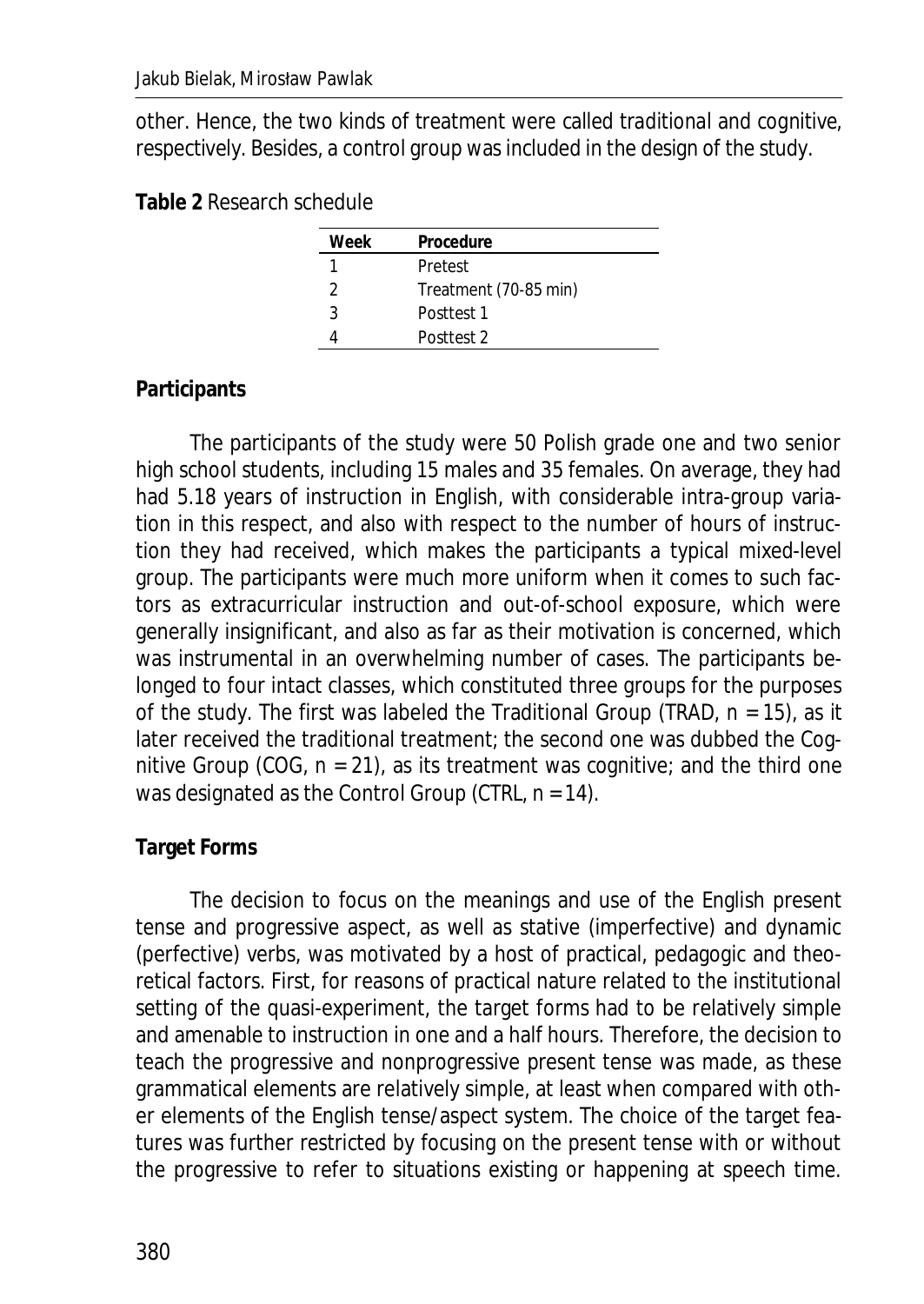other. Hence, the two kinds of treatment were called *traditional* and *cognitive*, respectively. Besides, a control group was included in the design of the study.

#### **Table 2** Research schedule

| Week | Procedure             |
|------|-----------------------|
|      | Pretest               |
|      | Treatment (70-85 min) |
| ર    | Posttest 1            |
|      | Posttest 2            |

## **Participants**

The participants of the study were 50 Polish grade one and two senior high school students, including 15 males and 35 females. On average, they had had 5.18 years of instruction in English, with considerable intra-group variation in this respect, and also with respect to the number of hours of instruction they had received, which makes the participants a typical mixed-level group. The participants were much more uniform when it comes to such factors as extracurricular instruction and out-of-school exposure, which were generally insignificant, and also as far as their motivation is concerned, which was instrumental in an overwhelming number of cases. The participants belonged to four intact classes, which constituted three groups for the purposes of the study. The first was labeled the Traditional Group (TRAD, *n* = 15), as it later received the traditional treatment; the second one was dubbed the Cognitive Group (COG, *n* = 21), as its treatment was cognitive; and the third one was designated as the Control Group (CTRL, *n* = 14).

### **Target Forms**

The decision to focus on the meanings and use of the English present tense and progressive aspect, as well as stative (imperfective) and dynamic (perfective) verbs, was motivated by a host of practical, pedagogic and theoretical factors. First, for reasons of practical nature related to the institutional setting of the quasi-experiment, the target forms had to be relatively simple and amenable to instruction in one and a half hours. Therefore, the decision to teach the progressive and nonprogressive present tense was made, as these grammatical elements are relatively simple, at least when compared with other elements of the English tense/aspect system. The choice of the target features was further restricted by focusing on the present tense with or without the progressive to refer to situations existing or happening at speech time.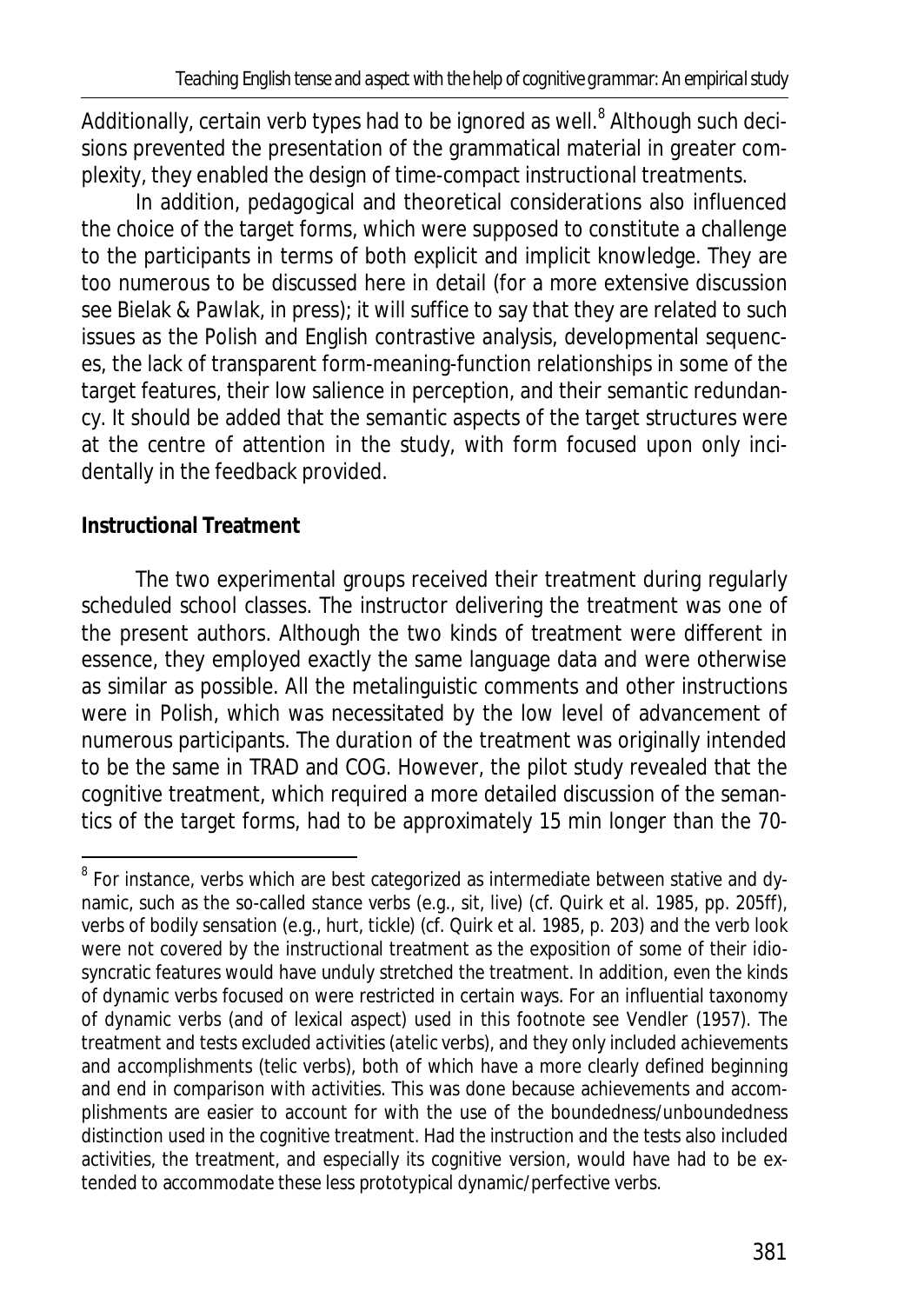Additionally, certain verb types had to be ignored as well.<sup>8</sup> Although such decisions prevented the presentation of the grammatical material in greater complexity, they enabled the design of time-compact instructional treatments.

In addition, pedagogical and theoretical considerations also influenced the choice of the target forms, which were supposed to constitute a challenge to the participants in terms of both explicit and implicit knowledge. They are too numerous to be discussed here in detail (for a more extensive discussion see Bielak & Pawlak, in press); it will suffice to say that they are related to such issues as the Polish and English contrastive analysis, developmental sequences, the lack of transparent form-meaning-function relationships in some of the target features, their low salience in perception, and their semantic redundancy. It should be added that the semantic aspects of the target structures were at the centre of attention in the study, with form focused upon only incidentally in the feedback provided.

## **Instructional Treatment**

The two experimental groups received their treatment during regularly scheduled school classes. The instructor delivering the treatment was one of the present authors. Although the two kinds of treatment were different in essence, they employed exactly the same language data and were otherwise as similar as possible. All the metalinguistic comments and other instructions were in Polish, which was necessitated by the low level of advancement of numerous participants. The duration of the treatment was originally intended to be the same in TRAD and COG. However, the pilot study revealed that the cognitive treatment, which required a more detailed discussion of the semantics of the target forms, had to be approximately 15 min longer than the 70-

<sup>8&</sup>lt;br>8 For instance, verbs which are best categorized as intermediate between stative and dynamic, such as the so-called *stance verbs* (e.g., *sit*, *live*) (cf. Quirk et al. 1985, pp. 205ff), verbs of bodily sensation (e.g., *hurt*, *tickle*) (cf. Quirk et al. 1985, p. 203) and the verb *look* were not covered by the instructional treatment as the exposition of some of their idiosyncratic features would have unduly stretched the treatment. In addition, even the kinds of dynamic verbs focused on were restricted in certain ways. For an influential taxonomy of dynamic verbs (and of lexical aspect) used in this footnote see Vendler (1957). The treatment and tests excluded *activities* (*atelic* verbs), and they only included *achievements* and *accomplishments* (*telic* verbs), both of which have a more clearly defined beginning and end in comparison with *activities*. This was done because achievements and accomplishments are easier to account for with the use of the boundedness/unboundedness distinction used in the cognitive treatment. Had the instruction and the tests also included activities, the treatment, and especially its cognitive version, would have had to be extended to accommodate these less prototypical dynamic/perfective verbs.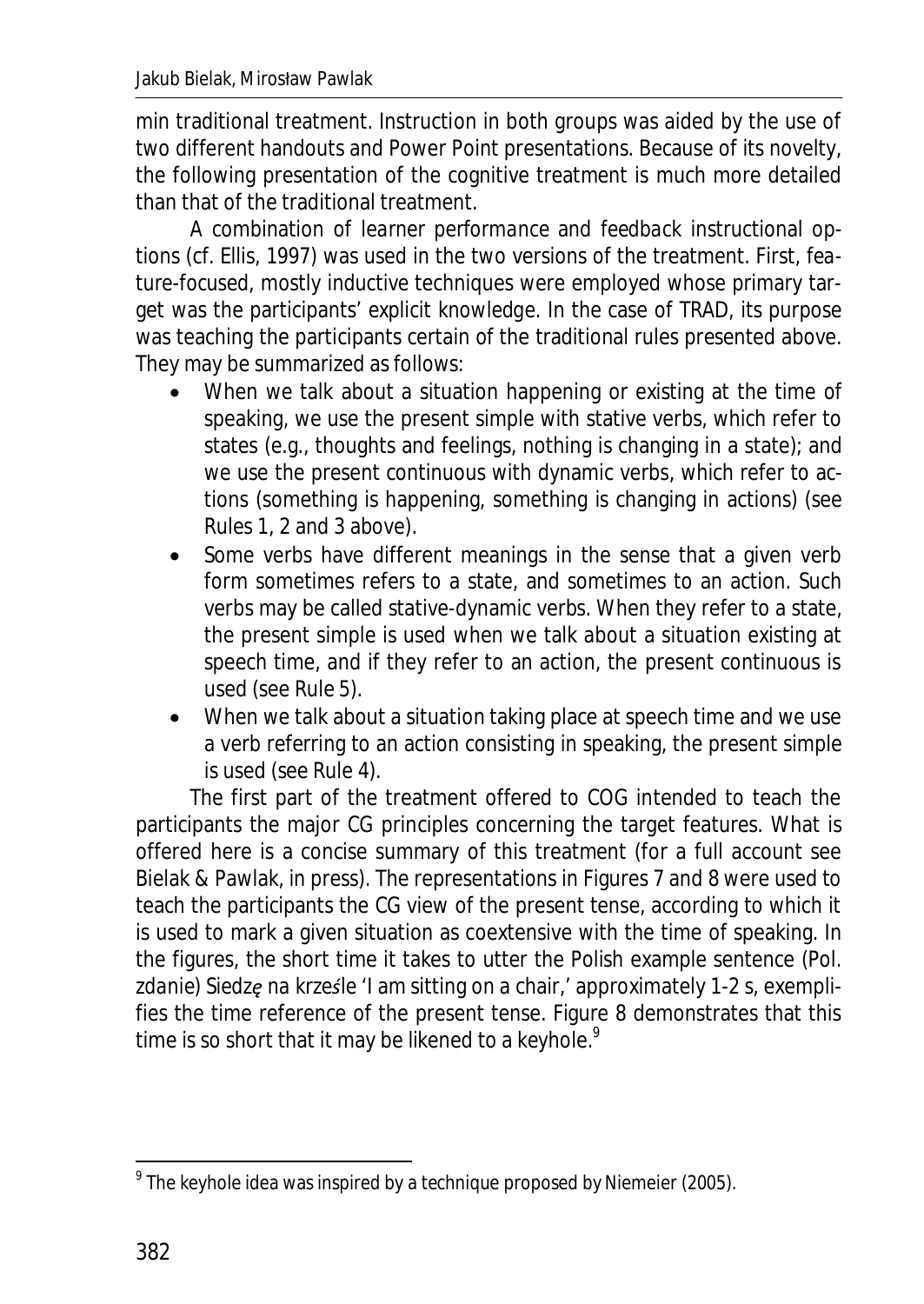min traditional treatment. Instruction in both groups was aided by the use of two different handouts and Power Point presentations. Because of its novelty, the following presentation of the cognitive treatment is much more detailed than that of the traditional treatment.

A combination of *learner performance* and *feedback* instructional options (cf. Ellis, 1997) was used in the two versions of the treatment. First, *feature-focused*, mostly *inductive* techniques were employed whose primary target was the participants' *explicit knowledge*. In the case of TRAD, its purpose was teaching the participants certain of the traditional rules presented above. They may be summarized as follows:

- When we talk about a situation happening or existing at the time of speaking, we use the present simple with stative verbs, which refer to states (e.g., thoughts and feelings, nothing is changing in a state); and we use the present continuous with dynamic verbs, which refer to actions (something is happening, something is changing in actions) (see Rules 1, 2 and 3 above).
- Some verbs have different meanings in the sense that a given verb form sometimes refers to a state, and sometimes to an action. Such verbs may be called stative-dynamic verbs. When they refer to a state, the present simple is used when we talk about a situation existing at speech time, and if they refer to an action, the present continuous is used (see Rule 5).
- When we talk about a situation taking place at speech time and we use a verb referring to an action consisting in speaking, the present simple is used (see Rule 4).

The first part of the treatment offered to COG intended to teach the participants the major CG principles concerning the target features. What is offered here is a concise summary of this treatment (for a full account see Bielak & Pawlak, in press). The representations in Figures 7 and 8 were used to teach the participants the CG view of the present tense, according to which it is used to mark a given situation as coextensive with the time of speaking. In the figures, the short time it takes to utter the Polish example sentence (Pol. *zdanie*) *Siedze na krześle* 'I am sitting on a chair,' approximately 1-2 s, exemplifies the time reference of the present tense. Figure 8 demonstrates that this time is so short that it may be likened to a keyhole. $9$ 

**.** 

 $^9$  The keyhole idea was inspired by a technique proposed by Niemeier (2005).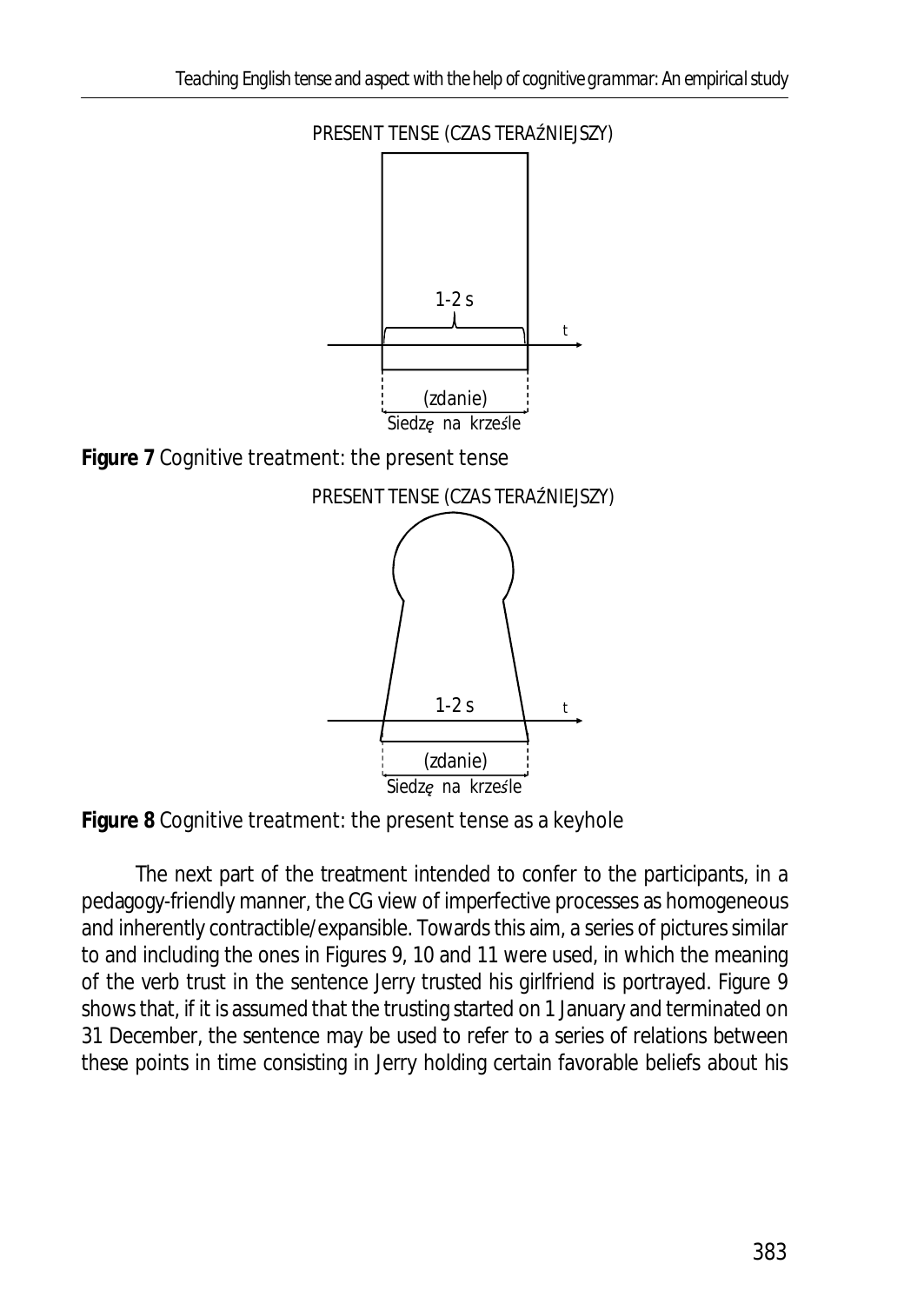

**Figure 8** Cognitive treatment: the present tense as a keyhole

The next part of the treatment intended to confer to the participants, in a pedagogy-friendly manner, the CG view of imperfective processes as homogeneous and inherently contractible/expansible. Towards this aim, a series of pictures similar to and including the ones in Figures 9, 10 and 11 were used, in which the meaning of the verb *trust* in the sentence *Jerry trusted his girlfriend* is portrayed. Figure 9 shows that, if it is assumed that the trusting started on 1 January and terminated on 31 December, the sentence may be used to refer to a series of relations between these points in time consisting in Jerry holding certain favorable beliefs about his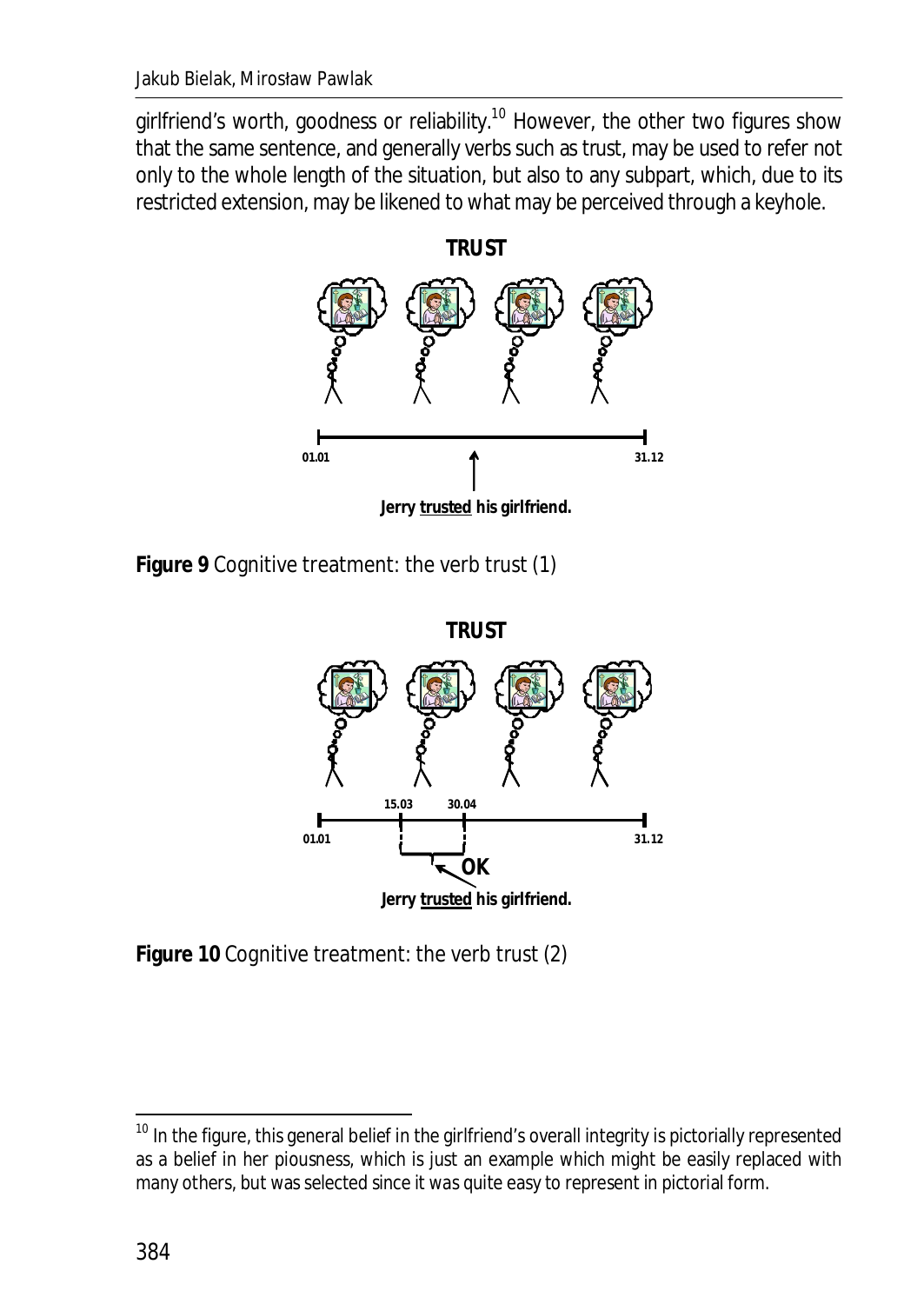girlfriend's worth, goodness or reliability.<sup>10</sup> However, the other two figures show that the same sentence, and generally verbs such as *trust,* may be used to refer not only to the whole length of the situation, but also to any subpart, which, due to its restricted extension, may be likened to what may be perceived through a keyhole.



**Figure 9** Cognitive treatment: the verb *trust* (1)



**Figure 10** Cognitive treatment: the verb *trust* (2)

 $\overline{a}$ 

 $10$  In the figure, this general belief in the girlfriend's overall integrity is pictorially represented as a belief in her piousness, which is just an example which might be easily replaced with many others, but was selected since it was quite easy to represent in pictorial form.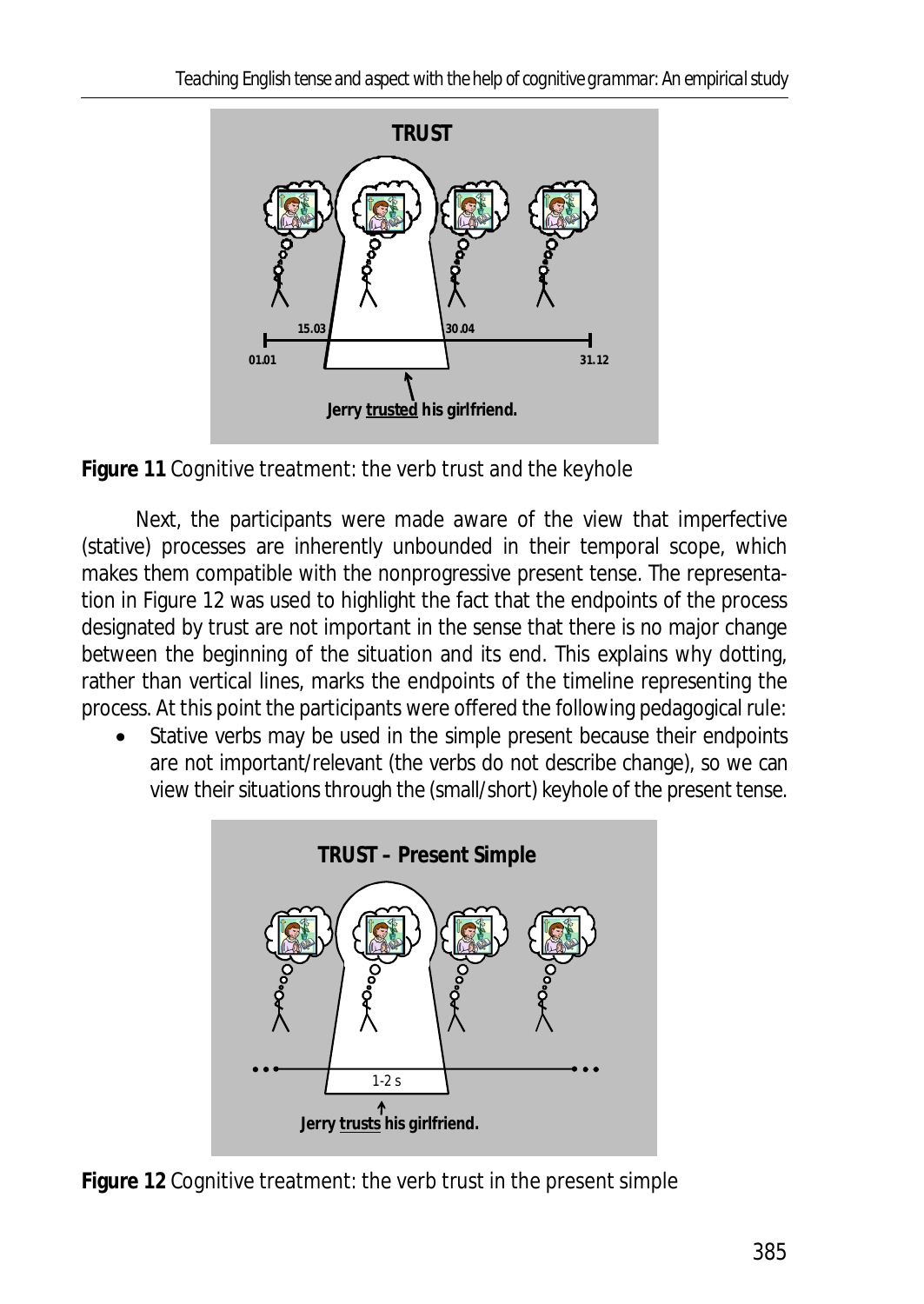

**Figure 11** Cognitive treatment: the verb *trust* and the keyhole

Next, the participants were made aware of the view that imperfective (stative) processes are inherently unbounded in their temporal scope, which makes them compatible with the nonprogressive present tense. The representation in Figure 12 was used to highlight the fact that the endpoints of the process designated by *trust* are not important in the sense that there is no major change between the beginning of the situation and its end. This explains why dotting, rather than vertical lines, marks the endpoints of the timeline representing the process. At this point the participants were offered the following pedagogical rule:

Stative verbs may be used in the simple present because their endpoints are not important/relevant (the verbs do not describe change), so we can view their situations through the (small/short) keyhole of the present tense.



**Figure 12** Cognitive treatment: the verb *trust* in the present simple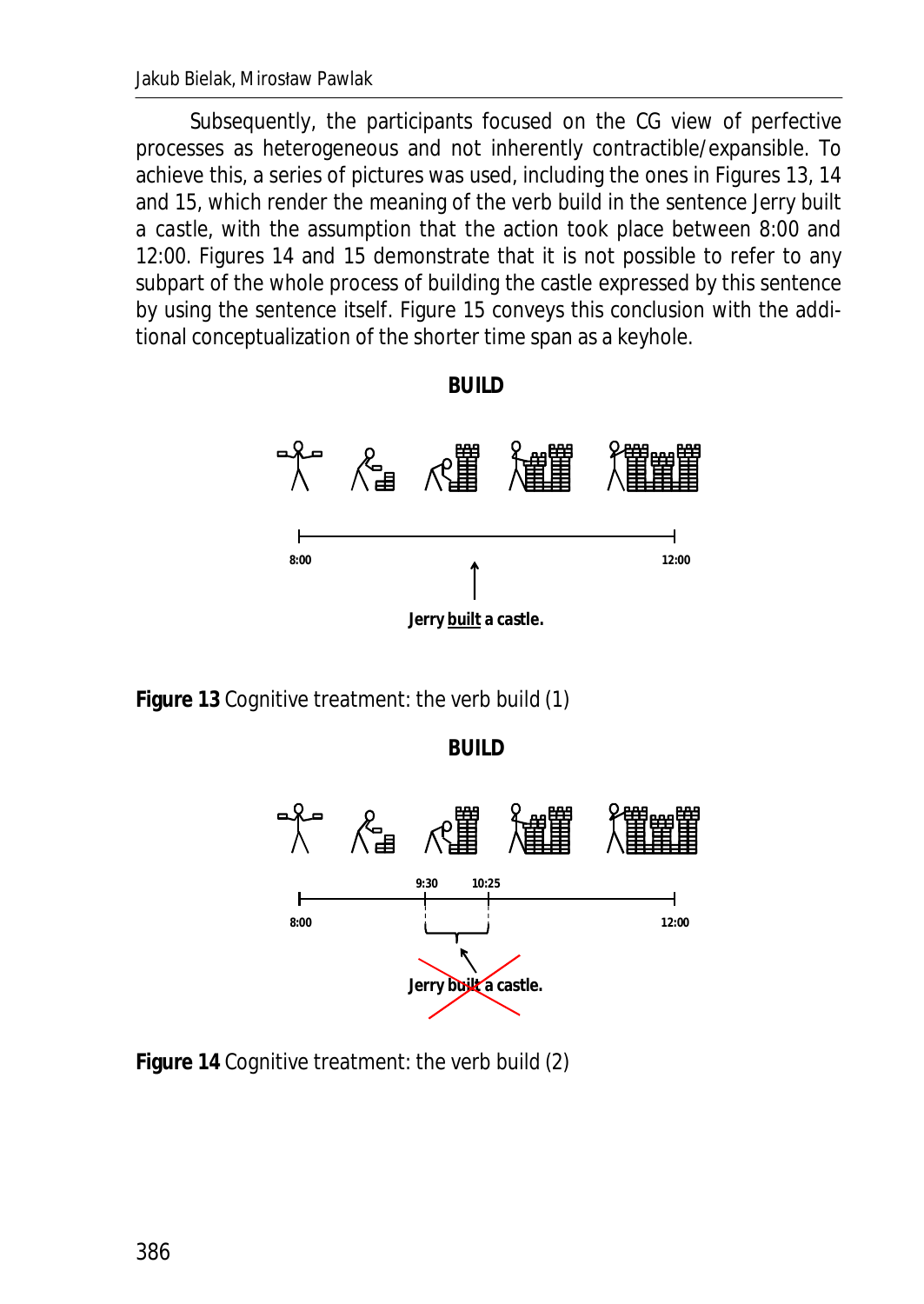Jakub Bielak, Mirosław Pawlak

Subsequently, the participants focused on the CG view of perfective processes as heterogeneous and not inherently contractible/expansible. To achieve this, a series of pictures was used, including the ones in Figures 13, 14 and 15, which render the meaning of the verb *build* in the sentence *Jerry built a castle*, with the assumption that the action took place between 8:00 and 12:00. Figures 14 and 15 demonstrate that it is not possible to refer to any subpart of the whole process of building the castle expressed by this sentence by using the sentence itself. Figure 15 conveys this conclusion with the additional conceptualization of the shorter time span as a keyhole.





**Figure 13** Cognitive treatment: the verb *build* (1)

**BUILD**



**Figure 14** Cognitive treatment: the verb *build* (2)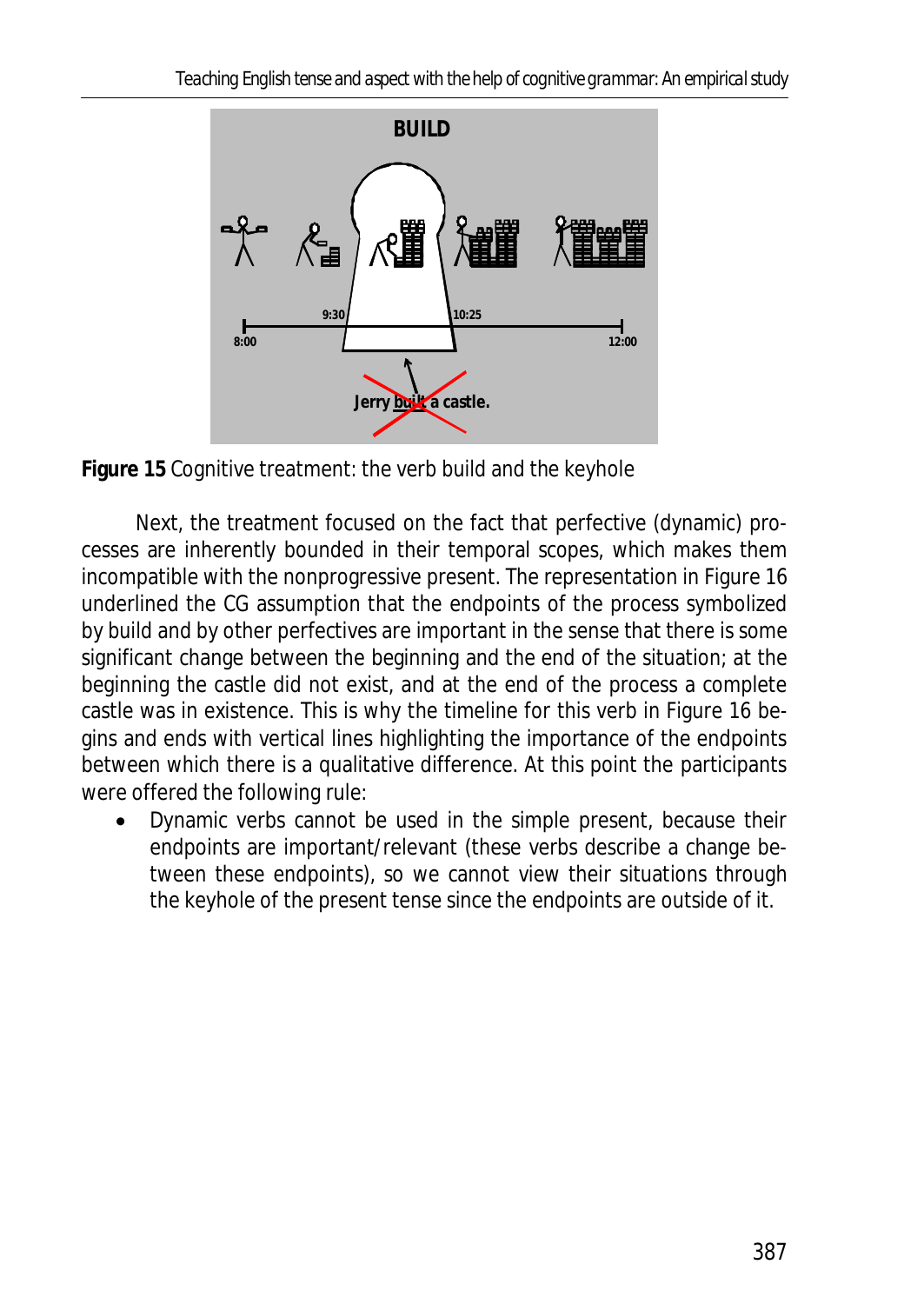

**Figure 15** Cognitive treatment: the verb *build* and the keyhole

Next, the treatment focused on the fact that perfective (dynamic) processes are inherently bounded in their temporal scopes, which makes them incompatible with the nonprogressive present. The representation in Figure 16 underlined the CG assumption that the endpoints of the process symbolized by *build* and by other perfectives are important in the sense that there is some significant change between the beginning and the end of the situation; at the beginning the castle did not exist, and at the end of the process a complete castle was in existence. This is why the timeline for this verb in Figure 16 begins and ends with vertical lines highlighting the importance of the endpoints between which there is a qualitative difference. At this point the participants were offered the following rule:

Dynamic verbs cannot be used in the simple present, because their endpoints are important/relevant (these verbs describe a change between these endpoints), so we cannot view their situations through the keyhole of the present tense since the endpoints are outside of it.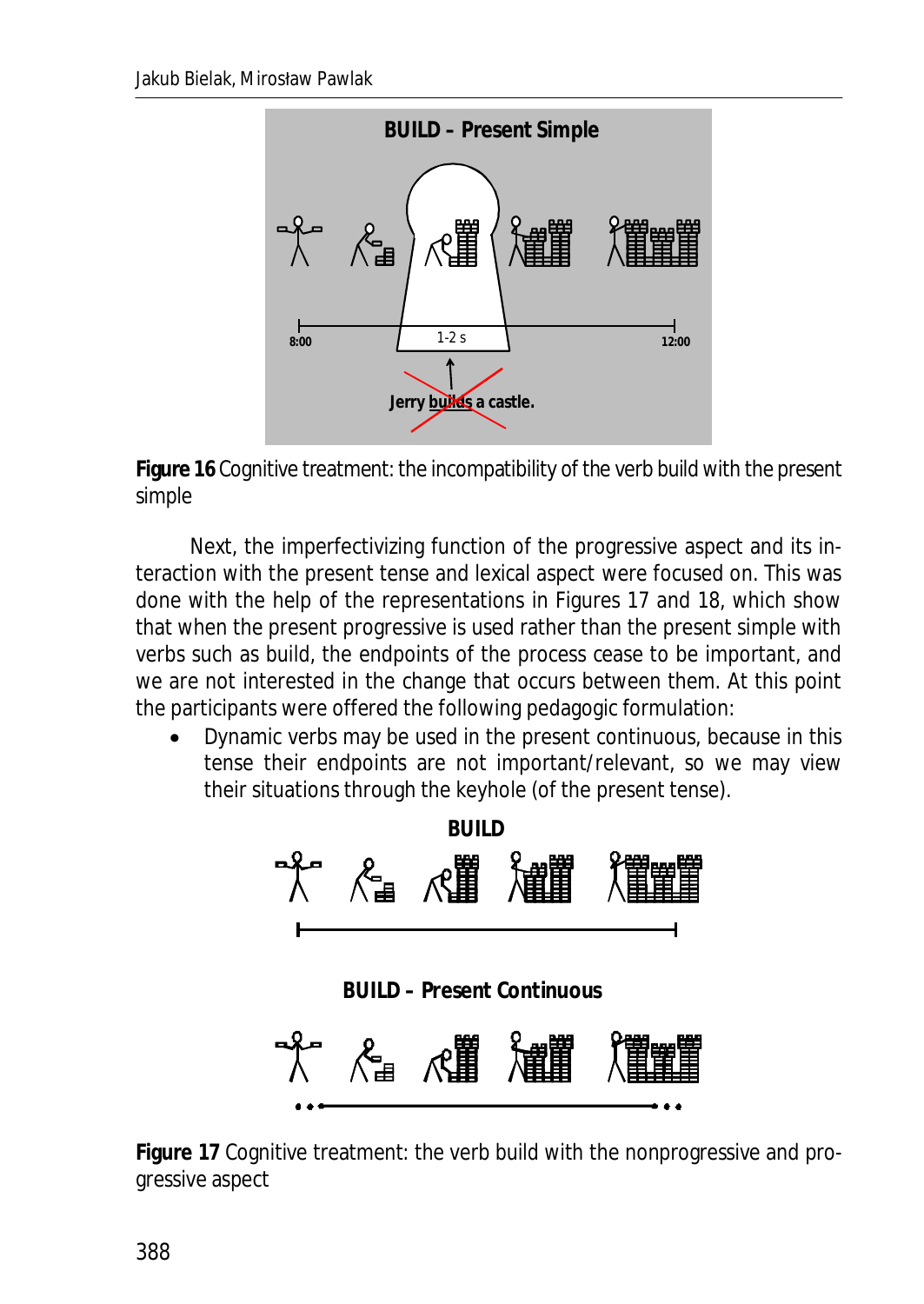

**Figure 16** Cognitive treatment: the incompatibility of the verb *build* with the present simple

Next, the imperfectivizing function of the progressive aspect and its interaction with the present tense and lexical aspect were focused on. This was done with the help of the representations in Figures 17 and 18, which show that when the present progressive is used rather than the present simple with verbs such as *build*, the endpoints of the process cease to be important, and we are not interested in the change that occurs between them. At this point the participants were offered the following pedagogic formulation:

Dynamic verbs may be used in the present continuous, because in this tense their endpoints are not important/relevant, so we may view their situations through the keyhole (of the present tense).



**Figure 17** Cognitive treatment: the verb *build* with the nonprogressive and progressive aspect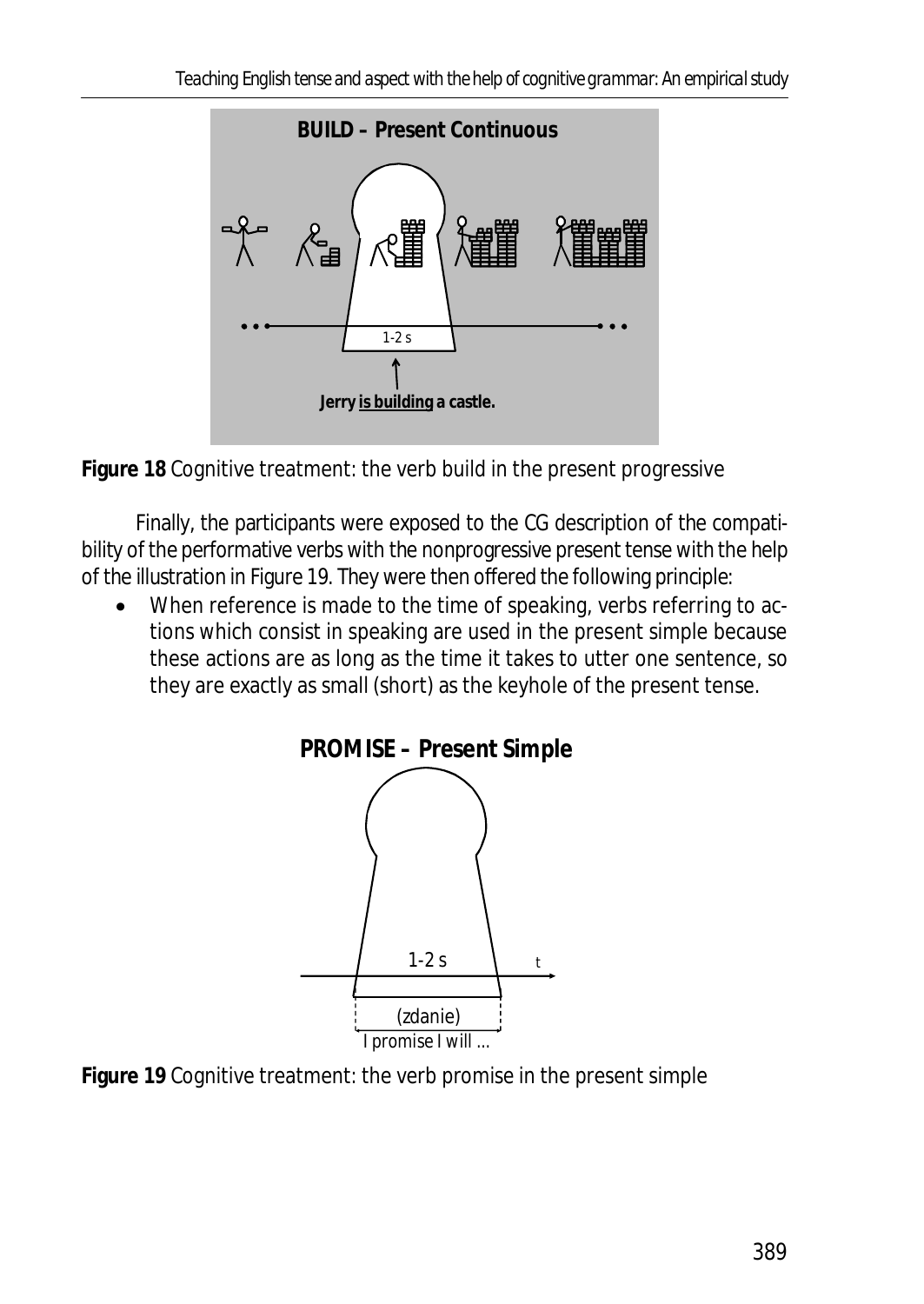

**Figure 18** Cognitive treatment: the verb *build* in the present progressive

Finally, the participants were exposed to the CG description of the compatibility of the performative verbs with the nonprogressive present tense with the help of the illustration in Figure 19. They were then offered the following principle:

When reference is made to the time of speaking, verbs referring to actions which consist in speaking are used in the present simple because these actions are as long as the time it takes to utter one sentence, so they are exactly as small (short) as the keyhole of the present tense.



**Figure 19** Cognitive treatment: the verb *promise* in the present simple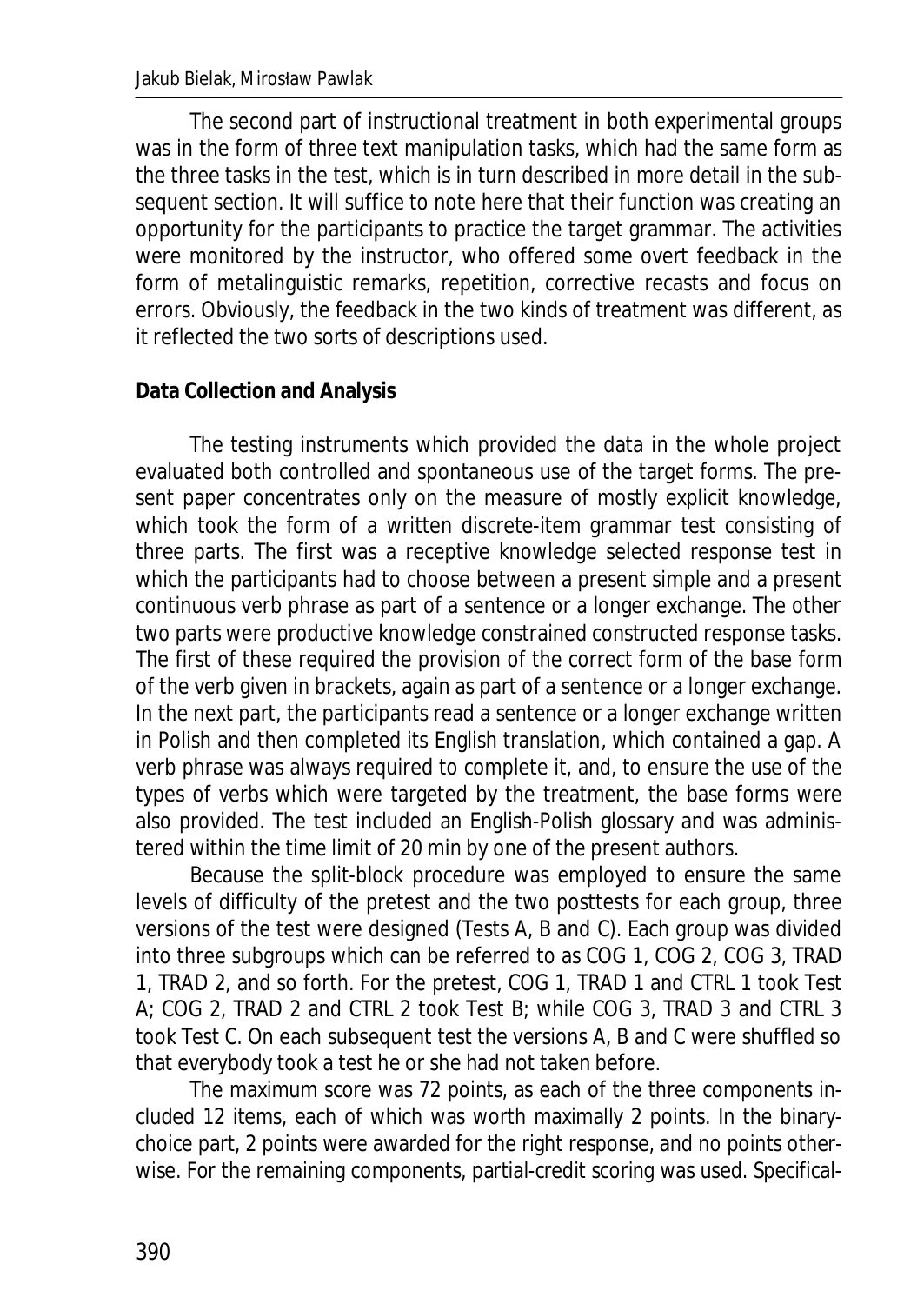The second part of instructional treatment in both experimental groups was in the form of three text manipulation tasks, which had the same form as the three tasks in the test, which is in turn described in more detail in the subsequent section. It will suffice to note here that their function was creating an opportunity for the participants to practice the target grammar. The activities were monitored by the instructor, who offered some overt feedback in the form of metalinguistic remarks, repetition, corrective recasts and focus on errors. Obviously, the feedback in the two kinds of treatment was different, as it reflected the two sorts of descriptions used.

### **Data Collection and Analysis**

The testing instruments which provided the data in the whole project evaluated both controlled and spontaneous use of the target forms. The present paper concentrates only on the measure of mostly explicit knowledge, which took the form of a written discrete-item grammar test consisting of three parts. The first was a receptive knowledge selected response test in which the participants had to choose between a present simple and a present continuous verb phrase as part of a sentence or a longer exchange. The other two parts were productive knowledge constrained constructed response tasks. The first of these required the provision of the correct form of the base form of the verb given in brackets, again as part of a sentence or a longer exchange. In the next part, the participants read a sentence or a longer exchange written in Polish and then completed its English translation, which contained a gap. A verb phrase was always required to complete it, and, to ensure the use of the types of verbs which were targeted by the treatment, the base forms were also provided. The test included an English-Polish glossary and was administered within the time limit of 20 min by one of the present authors.

Because the split-block procedure was employed to ensure the same levels of difficulty of the pretest and the two posttests for each group, three versions of the test were designed (Tests A, B and C). Each group was divided into three subgroups which can be referred to as COG 1, COG 2, COG 3, TRAD 1, TRAD 2, and so forth. For the pretest, COG 1, TRAD 1 and CTRL 1 took Test A; COG 2, TRAD 2 and CTRL 2 took Test B; while COG 3, TRAD 3 and CTRL 3 took Test C. On each subsequent test the versions A, B and C were shuffled so that everybody took a test he or she had not taken before.

The maximum score was 72 points, as each of the three components included 12 items, each of which was worth maximally 2 points. In the binarychoice part, 2 points were awarded for the right response, and no points otherwise. For the remaining components, partial-credit scoring was used. Specifical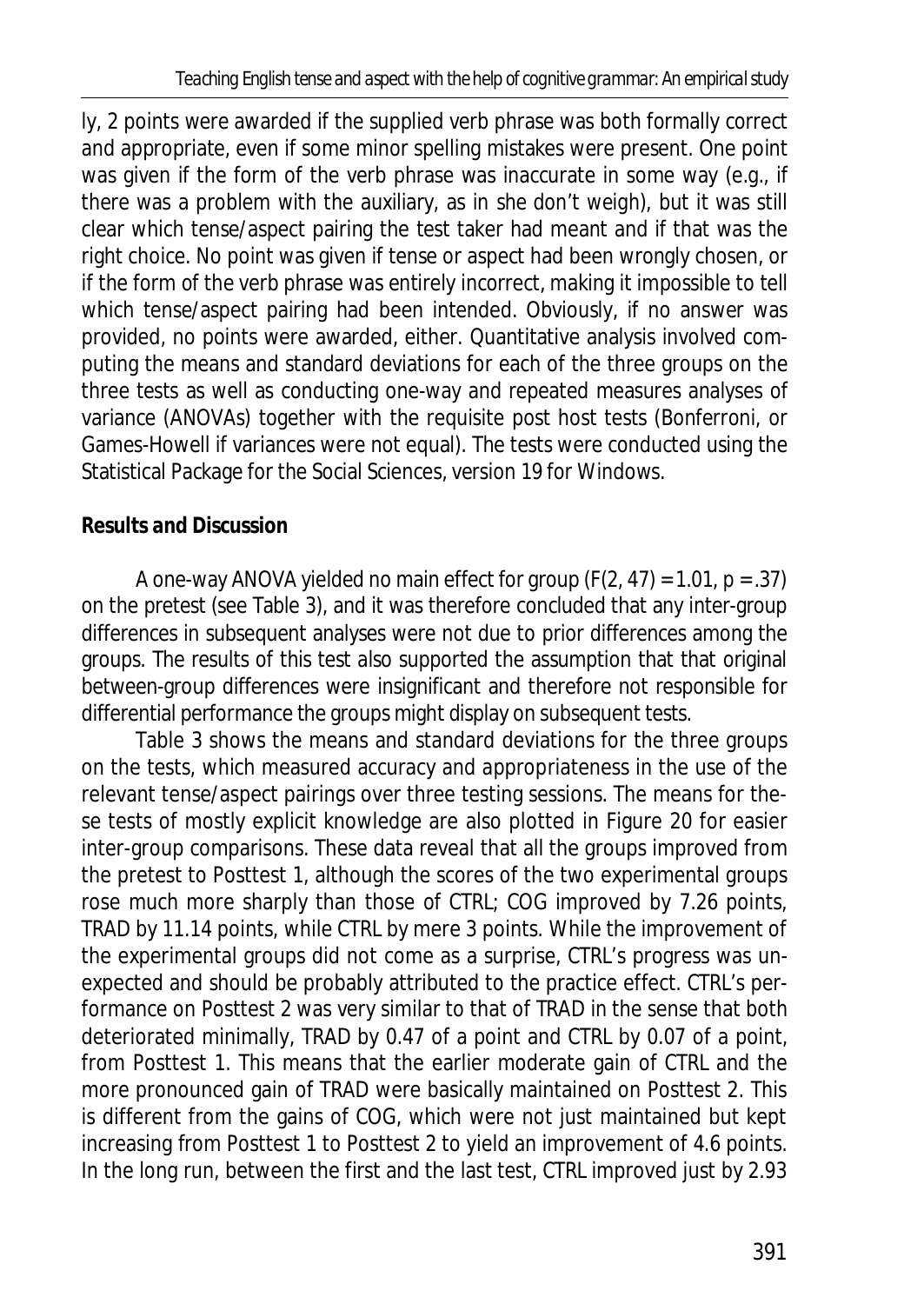ly, 2 points were awarded if the supplied verb phrase was both formally correct and appropriate, even if some minor spelling mistakes were present. One point was given if the form of the verb phrase was inaccurate in some way (e.g., if there was a problem with the auxiliary, as in *she don't weigh*), but it was still clear which tense/aspect pairing the test taker had meant and if that was the right choice. No point was given if tense or aspect had been wrongly chosen, or if the form of the verb phrase was entirely incorrect, making it impossible to tell which tense/aspect pairing had been intended. Obviously, if no answer was provided, no points were awarded, either. Quantitative analysis involved computing the means and standard deviations for each of the three groups on the three tests as well as conducting one-way and repeated measures analyses of variance (ANOVAs) together with the requisite post host tests (Bonferroni, or Games-Howell if variances were not equal). The tests were conducted using the Statistical Package for the Social Sciences, version 19 for Windows.

## **Results and Discussion**

A one-way ANOVA yielded no main effect for group (*F*(2, 47) = 1.01, *p* = .37) on the pretest (see Table 3), and it was therefore concluded that any inter-group differences in subsequent analyses were not due to prior differences among the groups. The results of this test also supported the assumption that that original between-group differences were insignificant and therefore not responsible for differential performance the groups might display on subsequent tests.

Table 3 shows the means and standard deviations for the three groups on the tests, which measured accuracy and appropriateness in the use of the relevant tense/aspect pairings over three testing sessions. The means for these tests of mostly explicit knowledge are also plotted in Figure 20 for easier inter-group comparisons. These data reveal that all the groups improved from the pretest to Posttest 1, although the scores of the two experimental groups rose much more sharply than those of CTRL; COG improved by 7.26 points, TRAD by 11.14 points, while CTRL by mere 3 points. While the improvement of the experimental groups did not come as a surprise, CTRL's progress was unexpected and should be probably attributed to the practice effect. CTRL's performance on Posttest 2 was very similar to that of TRAD in the sense that both deteriorated minimally, TRAD by 0.47 of a point and CTRL by 0.07 of a point, from Posttest 1. This means that the earlier moderate gain of CTRL and the more pronounced gain of TRAD were basically maintained on Posttest 2. This is different from the gains of COG, which were not just maintained but kept increasing from Posttest 1 to Posttest 2 to yield an improvement of 4.6 points. In the long run, between the first and the last test, CTRL improved just by 2.93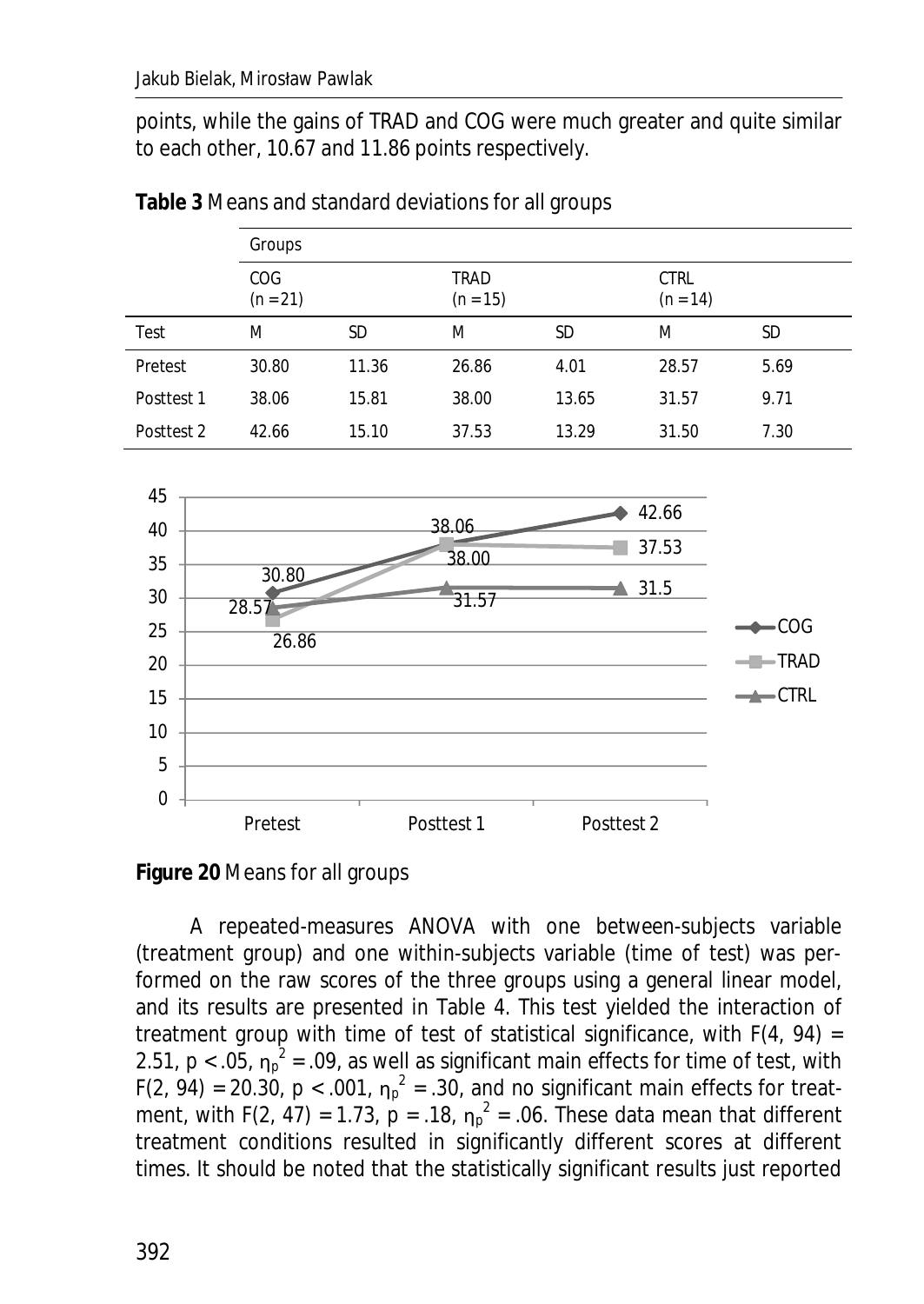points, while the gains of TRAD and COG were much greater and quite similar to each other, 10.67 and 11.86 points respectively.

|            | Groups            |       |                    |       |                           |      |
|------------|-------------------|-------|--------------------|-------|---------------------------|------|
|            | COG<br>$(n = 21)$ |       | TRAD<br>$(n = 15)$ |       | <b>CTRL</b><br>$(n = 14)$ |      |
| Test       | M                 | SD    | M                  | SD    | M                         | SD   |
| Pretest    | 30.80             | 11.36 | 26.86              | 4.01  | 28.57                     | 5.69 |
| Posttest 1 | 38.06             | 15.81 | 38.00              | 13.65 | 31.57                     | 9.71 |
| Posttest 2 | 42.66             | 15.10 | 37.53              | 13.29 | 31.50                     | 7.30 |

**Table 3** Means and standard deviations for all groups



**Figure 20** Means for all groups

A repeated-measures ANOVA with one between-subjects variable (treatment group) and one within-subjects variable (time of test) was performed on the raw scores of the three groups using a general linear model, and its results are presented in Table 4. This test yielded the interaction of treatment group with time of test of statistical significance, with *F*(4, 94) = 2.51,  $p < .05$ ,  $\eta_p^2 = .09$ , as well as significant main effects for time of test, with  $F(2, 94) = 20.30$ ,  $p < .001$ ,  $\eta_p^2 = .30$ , and no significant main effects for treatment, with  $F(2, 47) = 1.73$ ,  $p = .18$ ,  $\eta_p^2 = .06$ . These data mean that different treatment conditions resulted in significantly different scores at different times. It should be noted that the statistically significant results just reported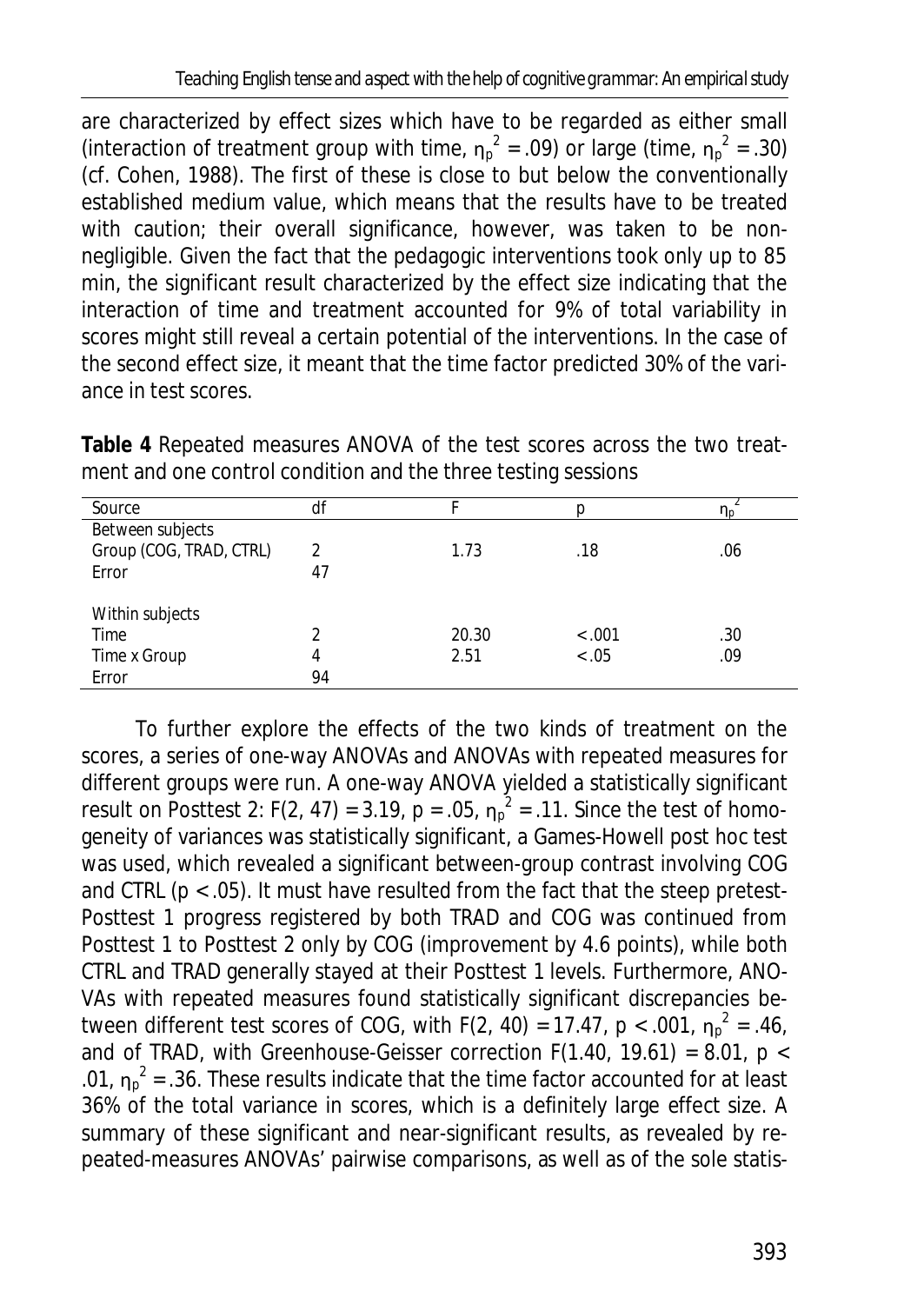are characterized by effect sizes which have to be regarded as either small (interaction of treatment group with time,  $\eta_p^2 = .09$ ) or large (time,  $\eta_p^2 = .30$ ) (cf. Cohen, 1988). The first of these is close to but below the conventionally established medium value, which means that the results have to be treated with caution; their overall significance, however, was taken to be nonnegligible. Given the fact that the pedagogic interventions took only up to 85 min, the significant result characterized by the effect size indicating that the interaction of time and treatment accounted for 9% of total variability in scores might still reveal a certain potential of the interventions. In the case of the second effect size, it meant that the time factor predicted 30% of the variance in test scores.

| Source                  | df |       |                        | "In |
|-------------------------|----|-------|------------------------|-----|
| Between subjects        |    |       |                        |     |
| Group (COG, TRAD, CTRL) | 2  | 1.73  | .18                    | .06 |
| Error                   | 47 |       |                        |     |
|                         |    |       |                        |     |
| Within subjects         |    |       |                        |     |
| Time                    | 2  | 20.30 | $\langle .001 \rangle$ | .30 |
| Time x Group            | 4  | 2.51  | 0.05                   | .09 |
| Error                   | 94 |       |                        |     |

**Table 4** Repeated measures ANOVA of the test scores across the two treatment and one control condition and the three testing sessions

To further explore the effects of the two kinds of treatment on the scores, a series of one-way ANOVAs and ANOVAs with repeated measures for different groups were run. A one-way ANOVA yielded a statistically significant result on Posttest 2:  $F(2, 47) = 3.19$ ,  $p = .05$ ,  $\eta_p^2 = .11$ . Since the test of homogeneity of variances was statistically significant, a Games-Howell post hoc test was used, which revealed a significant between-group contrast involving COG and CTRL ( $p < .05$ ). It must have resulted from the fact that the steep pretest-Posttest 1 progress registered by both TRAD and COG was continued from Posttest 1 to Posttest 2 only by COG (improvement by 4.6 points), while both CTRL and TRAD generally stayed at their Posttest 1 levels. Furthermore, ANO-VAs with repeated measures found statistically significant discrepancies between different test scores of COG, with  $F(2, 40) = 17.47$ ,  $p < .001$ ,  $\eta_p^2 = .46$ , and of TRAD, with Greenhouse-Geisser correction *F*(1.40, 19.61) = 8.01, *p <*  .01,  $\eta_p^2$  = .36. These results indicate that the time factor accounted for at least 36% of the total variance in scores, which is a definitely large effect size. A summary of these significant and near-significant results, as revealed by repeated-measures ANOVAs' pairwise comparisons, as well as of the sole statis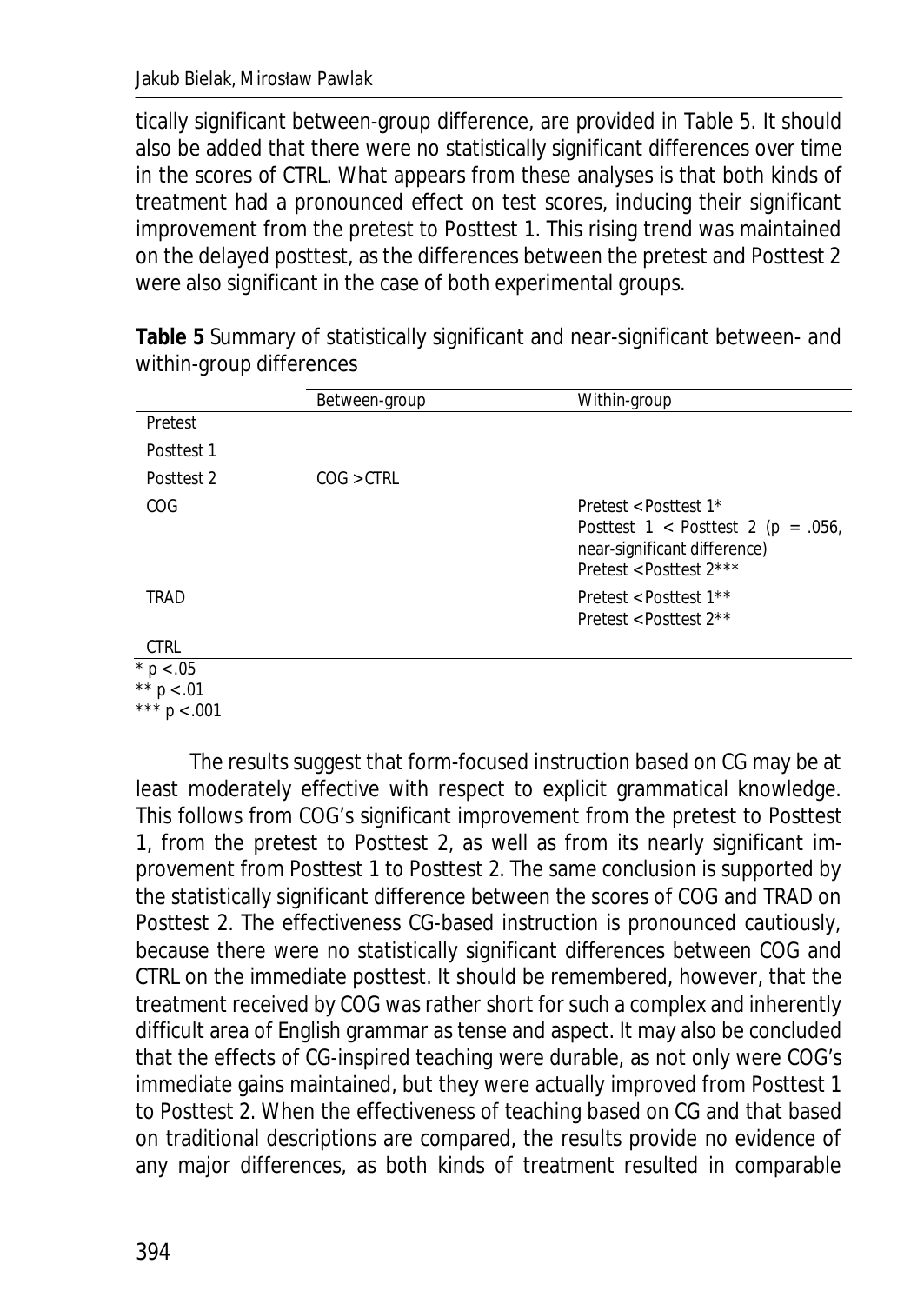tically significant between-group difference, are provided in Table 5. It should also be added that there were no statistically significant differences over time in the scores of CTRL. What appears from these analyses is that both kinds of treatment had a pronounced effect on test scores, inducing their significant improvement from the pretest to Posttest 1. This rising trend was maintained on the delayed posttest, as the differences between the pretest and Posttest 2 were also significant in the case of both experimental groups.

|             | Between-group | Within-group                                                                                                                |
|-------------|---------------|-----------------------------------------------------------------------------------------------------------------------------|
| Pretest     |               |                                                                                                                             |
| Posttest 1  |               |                                                                                                                             |
| Posttest 2  | COG > CTRL    |                                                                                                                             |
| COG         |               | Pretest < Posttest 1*<br>Posttest $1 <$ Posttest $2(p = .056, )$<br>near-significant difference)<br>Pretest < Posttest 2*** |
| TRAD        |               | Pretest < Posttest 1**<br>Pretest < Posttest 2**                                                                            |
| <b>CTRL</b> |               |                                                                                                                             |
| $* p < .05$ |               |                                                                                                                             |

**Table 5** Summary of statistically significant and near-significant between- and within-group differences

 $$ *\*\* p <* .01

*\*\*\* p <* .001

The results suggest that form-focused instruction based on CG may be at least moderately effective with respect to explicit grammatical knowledge. This follows from COG's significant improvement from the pretest to Posttest 1, from the pretest to Posttest 2, as well as from its nearly significant improvement from Posttest 1 to Posttest 2. The same conclusion is supported by the statistically significant difference between the scores of COG and TRAD on Posttest 2. The effectiveness CG-based instruction is pronounced cautiously, because there were no statistically significant differences between COG and CTRL on the immediate posttest. It should be remembered, however, that the treatment received by COG was rather short for such a complex and inherently difficult area of English grammar as tense and aspect. It may also be concluded that the effects of CG-inspired teaching were durable, as not only were COG's immediate gains maintained, but they were actually improved from Posttest 1 to Posttest 2. When the effectiveness of teaching based on CG and that based on traditional descriptions are compared, the results provide no evidence of any major differences, as both kinds of treatment resulted in comparable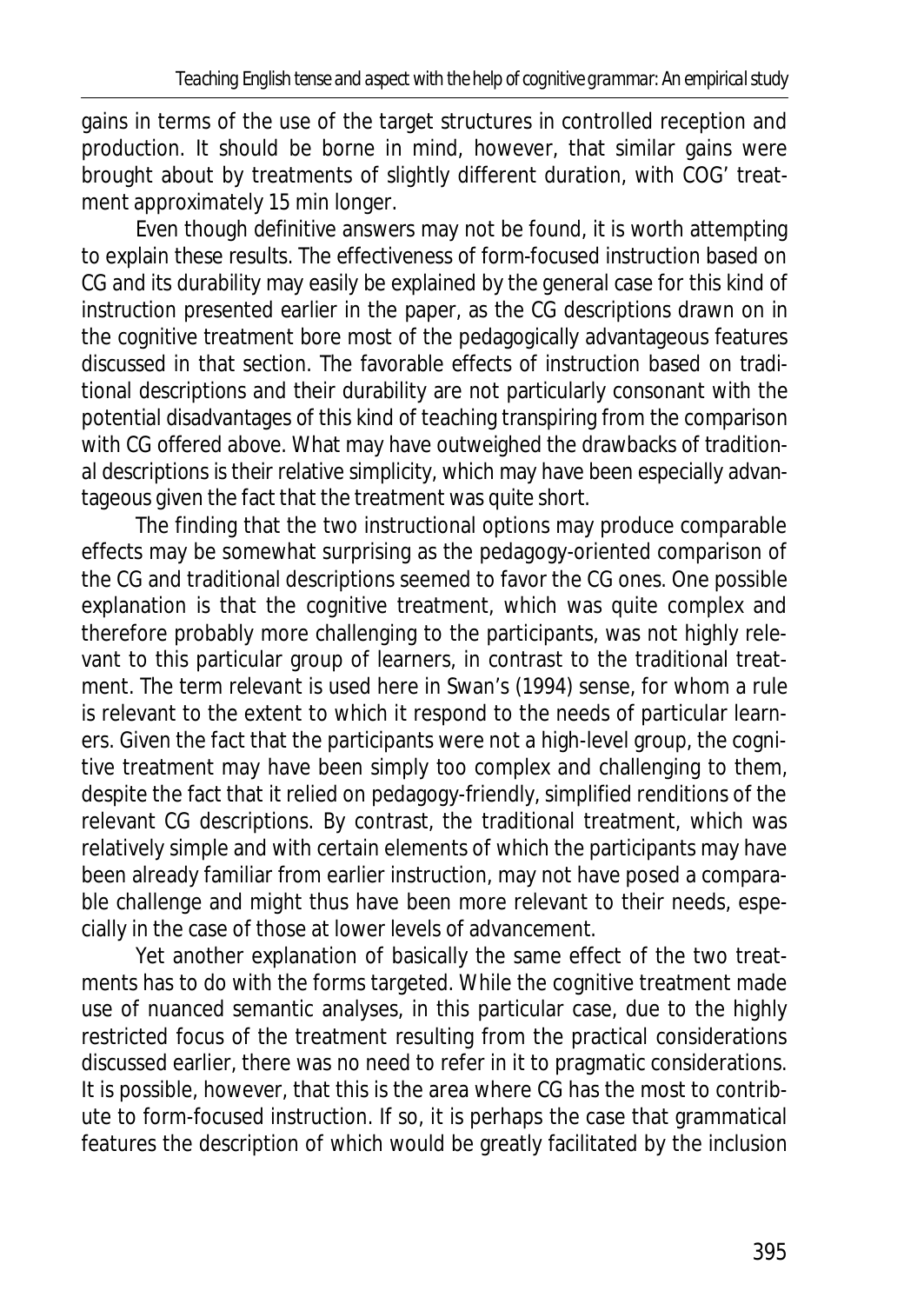gains in terms of the use of the target structures in controlled reception and production. It should be borne in mind, however, that similar gains were brought about by treatments of slightly different duration, with COG' treatment approximately 15 min longer.

Even though definitive answers may not be found, it is worth attempting to explain these results. The effectiveness of form-focused instruction based on CG and its durability may easily be explained by the general case for this kind of instruction presented earlier in the paper, as the CG descriptions drawn on in the cognitive treatment bore most of the pedagogically advantageous features discussed in that section. The favorable effects of instruction based on traditional descriptions and their durability are not particularly consonant with the potential disadvantages of this kind of teaching transpiring from the comparison with CG offered above. What may have outweighed the drawbacks of traditional descriptions is their relative simplicity, which may have been especially advantageous given the fact that the treatment was quite short.

The finding that the two instructional options may produce comparable effects may be somewhat surprising as the pedagogy-oriented comparison of the CG and traditional descriptions seemed to favor the CG ones. One possible explanation is that the cognitive treatment, which was quite complex and therefore probably more challenging to the participants, was not highly relevant to this particular group of learners, in contrast to the traditional treatment. The term *relevant* is used here in Swan's (1994) sense, for whom a rule is relevant to the extent to which it respond to the needs of particular learners. Given the fact that the participants were not a high-level group, the cognitive treatment may have been simply too complex and challenging to them, despite the fact that it relied on pedagogy-friendly, simplified renditions of the relevant CG descriptions. By contrast, the traditional treatment, which was relatively simple and with certain elements of which the participants may have been already familiar from earlier instruction, may not have posed a comparable challenge and might thus have been more relevant to their needs, especially in the case of those at lower levels of advancement.

Yet another explanation of basically the same effect of the two treatments has to do with the forms targeted. While the cognitive treatment made use of nuanced semantic analyses, in this particular case, due to the highly restricted focus of the treatment resulting from the practical considerations discussed earlier, there was no need to refer in it to pragmatic considerations. It is possible, however, that this is the area where CG has the most to contribute to form-focused instruction. If so, it is perhaps the case that grammatical features the description of which would be greatly facilitated by the inclusion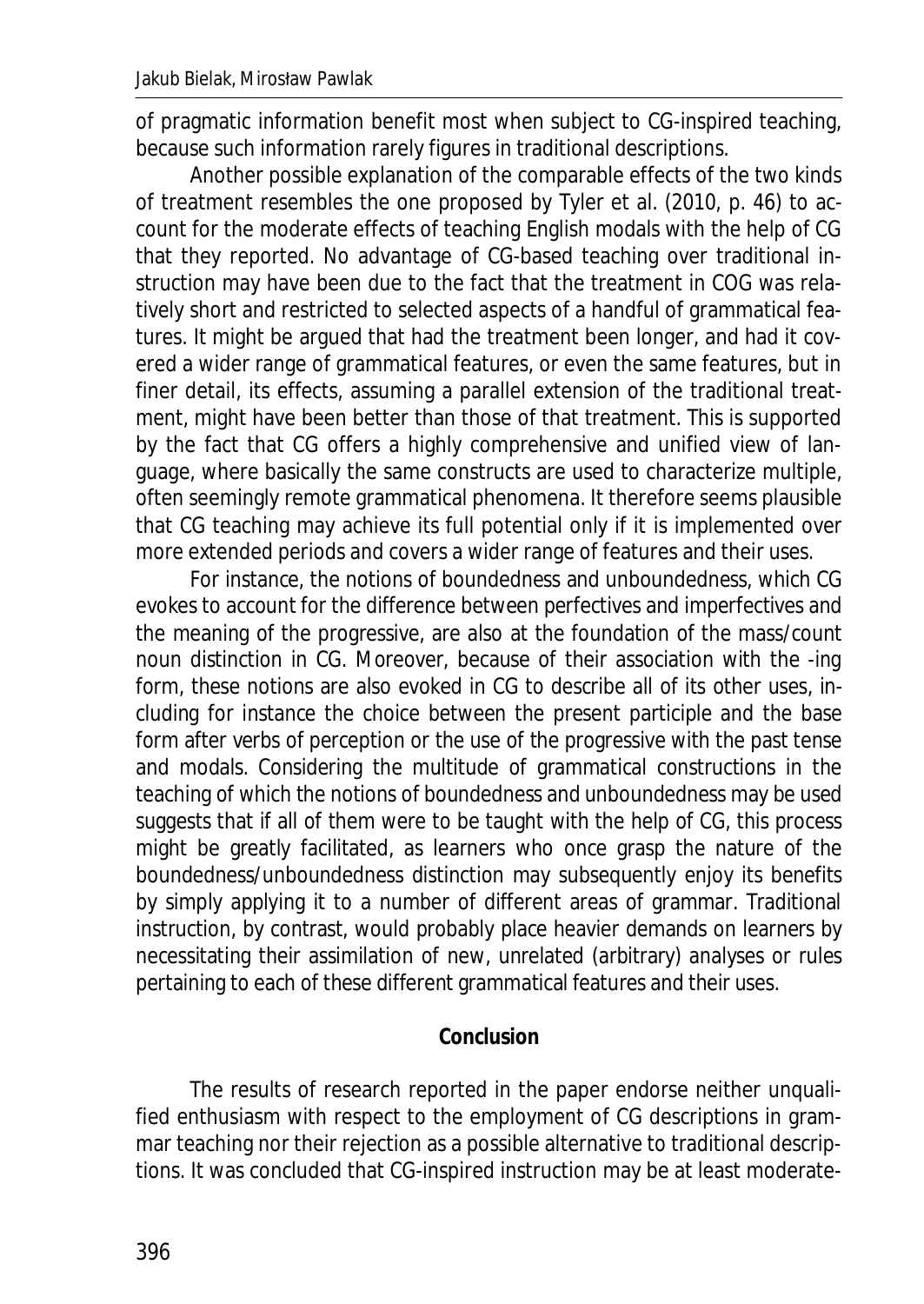of pragmatic information benefit most when subject to CG-inspired teaching, because such information rarely figures in traditional descriptions.

Another possible explanation of the comparable effects of the two kinds of treatment resembles the one proposed by Tyler et al. (2010, p. 46) to account for the moderate effects of teaching English modals with the help of CG that they reported. No advantage of CG-based teaching over traditional instruction may have been due to the fact that the treatment in COG was relatively short and restricted to selected aspects of a handful of grammatical features. It might be argued that had the treatment been longer, and had it covered a wider range of grammatical features, or even the same features, but in finer detail, its effects, assuming a parallel extension of the traditional treatment, might have been better than those of that treatment. This is supported by the fact that CG offers a highly comprehensive and unified view of language, where basically the same constructs are used to characterize multiple, often seemingly remote grammatical phenomena. It therefore seems plausible that CG teaching may achieve its full potential only if it is implemented over more extended periods and covers a wider range of features and their uses.

For instance, the notions of boundedness and unboundedness, which CG evokes to account for the difference between perfectives and imperfectives and the meaning of the progressive, are also at the foundation of the mass/count noun distinction in CG. Moreover, because of their association with the -*ing* form, these notions are also evoked in CG to describe all of its other uses, including for instance the choice between the present participle and the base form after verbs of perception or the use of the progressive with the past tense and modals. Considering the multitude of grammatical constructions in the teaching of which the notions of boundedness and unboundedness may be used suggests that if all of them were to be taught with the help of CG, this process might be greatly facilitated, as learners who once grasp the nature of the boundedness/unboundedness distinction may subsequently enjoy its benefits by simply applying it to a number of different areas of grammar. Traditional instruction, by contrast, would probably place heavier demands on learners by necessitating their assimilation of new, unrelated (arbitrary) analyses or rules pertaining to each of these different grammatical features and their uses.

### **Conclusion**

The results of research reported in the paper endorse neither unqualified enthusiasm with respect to the employment of CG descriptions in grammar teaching nor their rejection as a possible alternative to traditional descriptions. It was concluded that CG-inspired instruction may be at least moderate-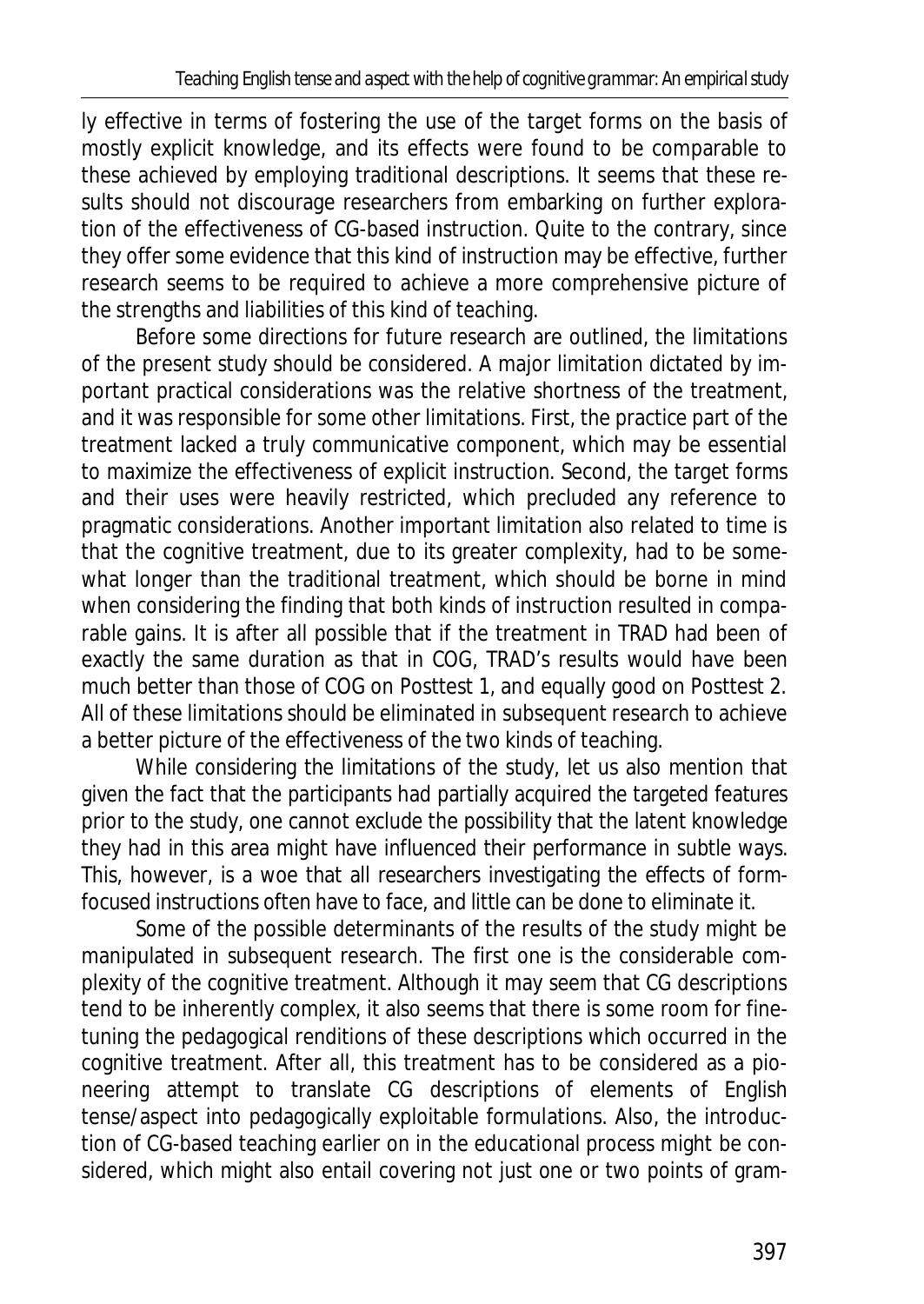ly effective in terms of fostering the use of the target forms on the basis of mostly explicit knowledge, and its effects were found to be comparable to these achieved by employing traditional descriptions. It seems that these results should not discourage researchers from embarking on further exploration of the effectiveness of CG-based instruction. Quite to the contrary, since they offer some evidence that this kind of instruction may be effective, further research seems to be required to achieve a more comprehensive picture of the strengths and liabilities of this kind of teaching.

Before some directions for future research are outlined, the limitations of the present study should be considered. A major limitation dictated by important practical considerations was the relative shortness of the treatment, and it was responsible for some other limitations. First, the practice part of the treatment lacked a truly communicative component, which may be essential to maximize the effectiveness of explicit instruction. Second, the target forms and their uses were heavily restricted, which precluded any reference to pragmatic considerations. Another important limitation also related to time is that the cognitive treatment, due to its greater complexity, had to be somewhat longer than the traditional treatment, which should be borne in mind when considering the finding that both kinds of instruction resulted in comparable gains. It is after all possible that if the treatment in TRAD had been of exactly the same duration as that in COG, TRAD's results would have been much better than those of COG on Posttest 1, and equally good on Posttest 2. All of these limitations should be eliminated in subsequent research to achieve a better picture of the effectiveness of the two kinds of teaching.

While considering the limitations of the study, let us also mention that given the fact that the participants had partially acquired the targeted features prior to the study, one cannot exclude the possibility that the latent knowledge they had in this area might have influenced their performance in subtle ways. This, however, is a woe that all researchers investigating the effects of formfocused instructions often have to face, and little can be done to eliminate it.

Some of the possible determinants of the results of the study might be manipulated in subsequent research. The first one is the considerable complexity of the cognitive treatment. Although it may seem that CG descriptions tend to be inherently complex, it also seems that there is some room for finetuning the pedagogical renditions of these descriptions which occurred in the cognitive treatment. After all, this treatment has to be considered as a pioneering attempt to translate CG descriptions of elements of English tense/aspect into pedagogically exploitable formulations. Also, the introduction of CG-based teaching earlier on in the educational process might be considered, which might also entail covering not just one or two points of gram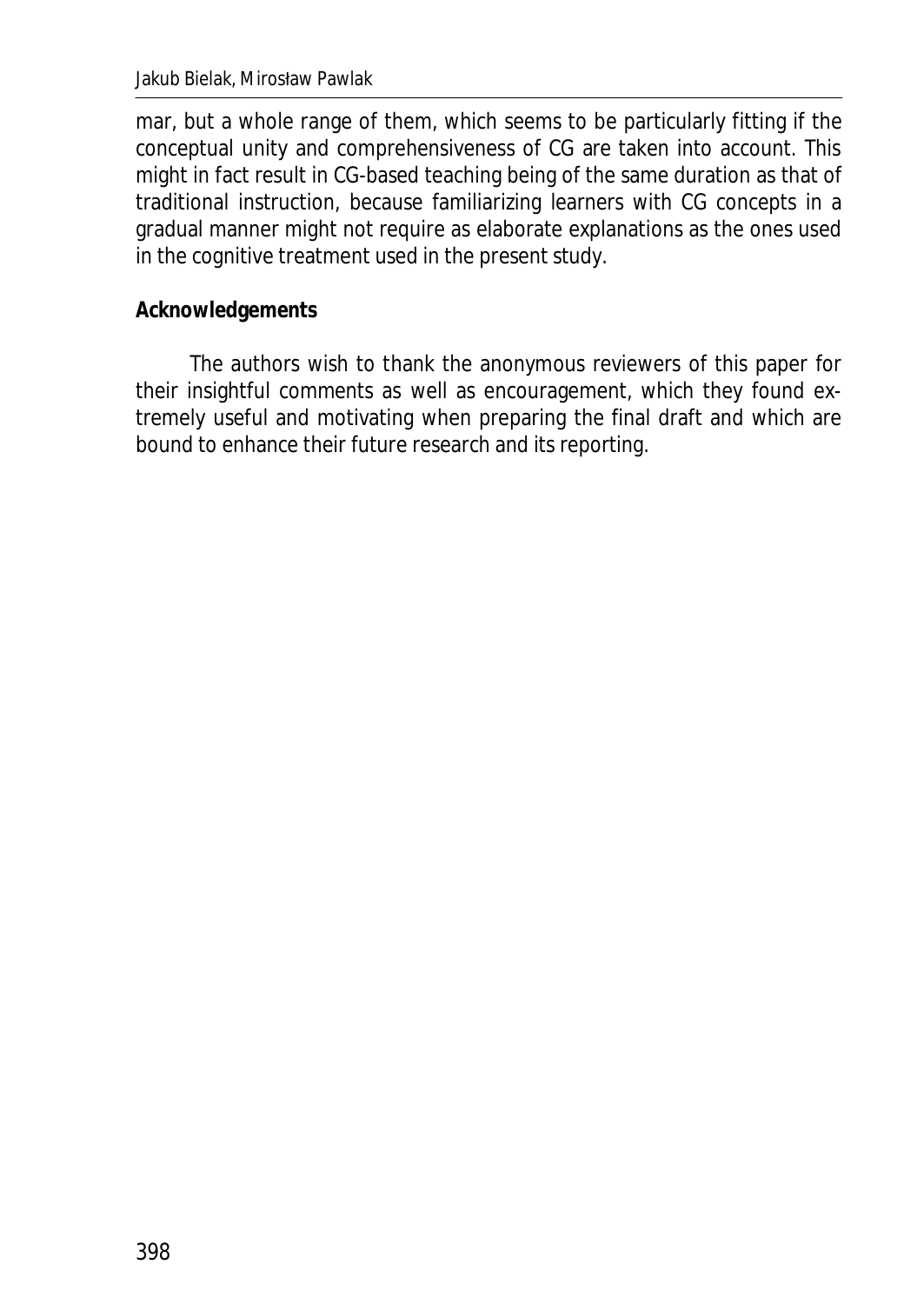mar, but a whole range of them, which seems to be particularly fitting if the conceptual unity and comprehensiveness of CG are taken into account. This might in fact result in CG-based teaching being of the same duration as that of traditional instruction, because familiarizing learners with CG concepts in a gradual manner might not require as elaborate explanations as the ones used in the cognitive treatment used in the present study.

### **Acknowledgements**

The authors wish to thank the anonymous reviewers of this paper for their insightful comments as well as encouragement, which they found extremely useful and motivating when preparing the final draft and which are bound to enhance their future research and its reporting.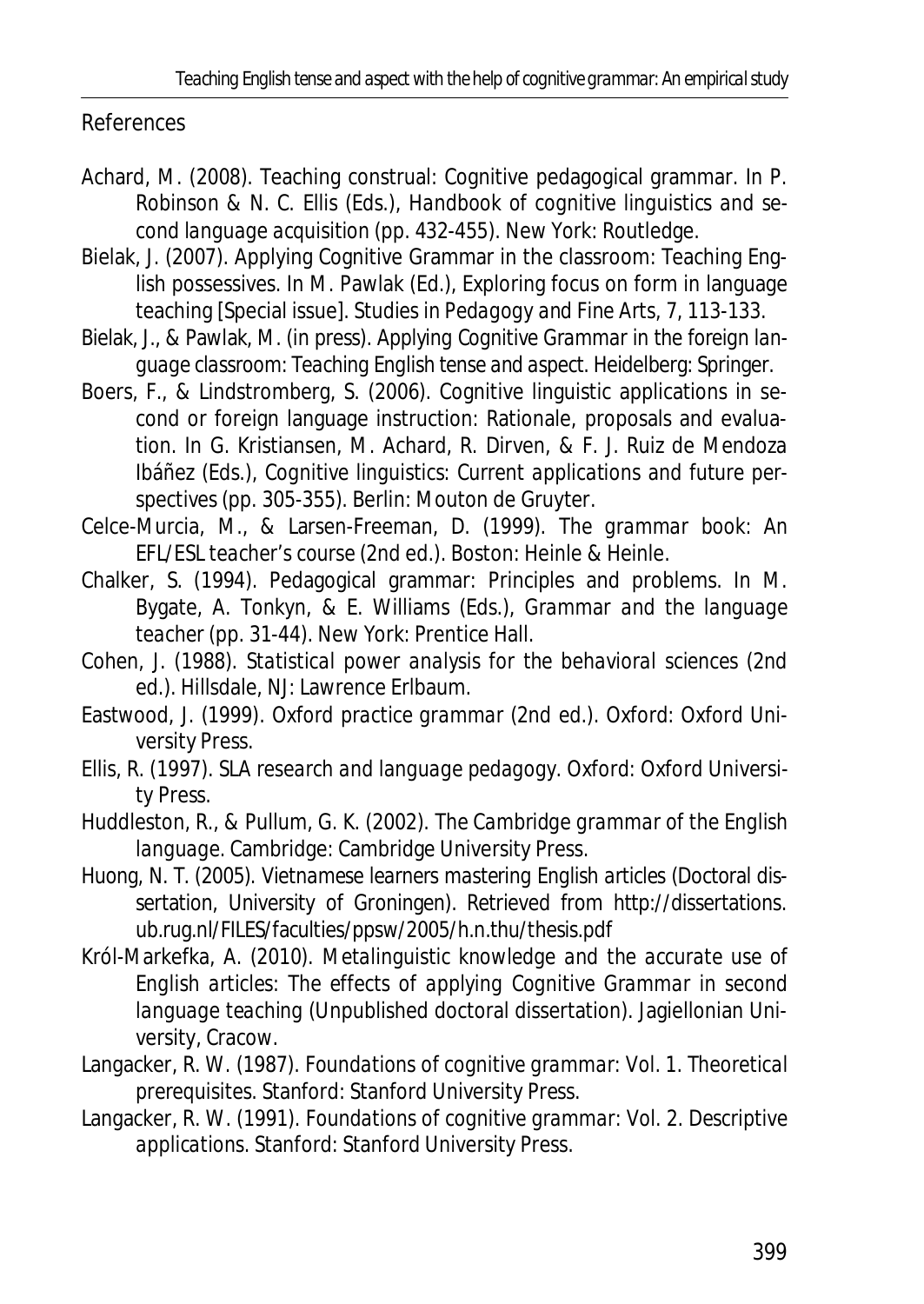*Teaching English tense and aspect with the help of cognitive grammar: An empirical study*

References

- Achard, M. (2008). Teaching construal: Cognitive pedagogical grammar. In P. Robinson & N. C. Ellis (Eds.), *Handbook of cognitive linguistics and second language acquisition* (pp. 432-455). New York: Routledge.
- Bielak, J. (2007). Applying Cognitive Grammar in the classroom: Teaching English possessives. In M. Pawlak (Ed.), Exploring focus on form in language teaching [Special issue]. *Studies in Pedagogy and Fine Arts, 7,* 113-133.
- Bielak, J., & Pawlak, M. (in press). *Applying Cognitive Grammar in the foreign language classroom: Teaching English tense and aspect*. Heidelberg: Springer.
- Boers, F., & Lindstromberg, S. (2006). Cognitive linguistic applications in second or foreign language instruction: Rationale, proposals and evaluation. In G. Kristiansen, M. Achard, R. Dirven, & F. J. Ruiz de Mendoza Ibáñez (Eds.), *Cognitive linguistics: Current applications and future perspectives* (pp. 305-355). Berlin: Mouton de Gruyter.
- Celce-Murcia, M., & Larsen-Freeman, D. (1999). *The grammar book: An EFL/ESL teacher's course* (2nd ed.). Boston: Heinle & Heinle.
- Chalker, S. (1994). Pedagogical grammar: Principles and problems. In M. Bygate, A. Tonkyn, & E. Williams (Eds.), *Grammar and the language teacher* (pp. 31-44). New York: Prentice Hall.
- Cohen, J. (1988). *Statistical power analysis for the behavioral sciences* (2nd ed.). Hillsdale, NJ: Lawrence Erlbaum.
- Eastwood, J. (1999). *Oxford practice grammar* (2nd ed.). Oxford: Oxford University Press.
- Ellis, R. (1997). *SLA research and language pedagogy.* Oxford: Oxford University Press.
- Huddleston, R., & Pullum, G. K. (2002). *The Cambridge grammar of the English language.* Cambridge: Cambridge University Press.
- Huong, N. T. (2005). *Vietnamese learners mastering English articles* (Doctoral dissertation, University of Groningen). Retrieved from http://dissertations. ub.rug.nl/FILES/faculties/ppsw/2005/h.n.thu/thesis.pdf
- Król-Markefka, A. (2010). *Metalinguistic knowledge and the accurate use of English articles: The effects of applying Cognitive Grammar in second language teaching* (Unpublished doctoral dissertation). Jagiellonian University, Cracow.
- Langacker, R. W. (1987). *Foundations of cognitive grammar: Vol. 1. Theoretical prerequisites*. Stanford: Stanford University Press.
- Langacker, R. W. (1991). *Foundations of cognitive grammar: Vol. 2. Descriptive applications*. Stanford: Stanford University Press.